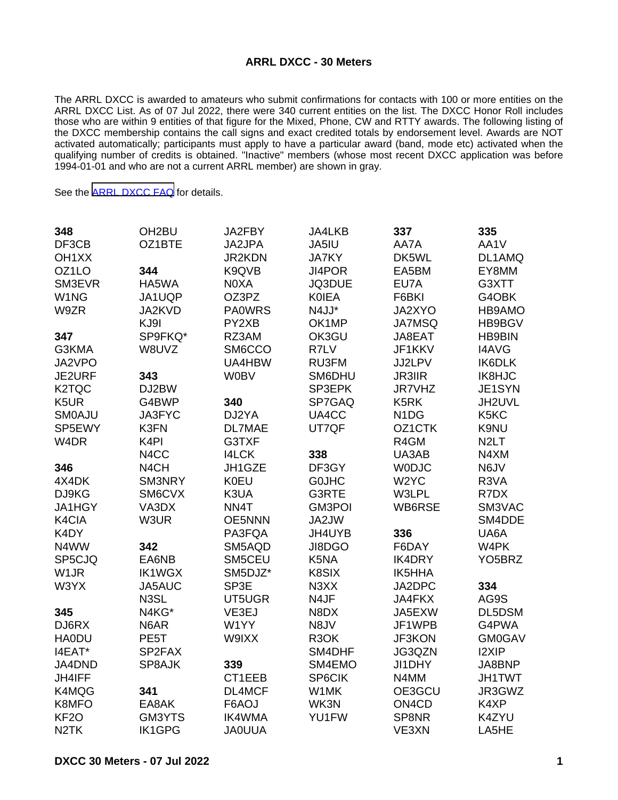## **ARRL DXCC - 30 Meters**

The ARRL DXCC is awarded to amateurs who submit confirmations for contacts with 100 or more entities on the ARRL DXCC List. As of 07 Jul 2022, there were 340 current entities on the list. The DXCC Honor Roll includes those who are within 9 entities of that figure for the Mixed, Phone, CW and RTTY awards. The following listing of the DXCC membership contains the call signs and exact credited totals by endorsement level. Awards are NOT activated automatically; participants must apply to have a particular award (band, mode etc) activated when the qualifying number of credits is obtained. "Inactive" members (whose most recent DXCC application was before 1994-01-01 and who are not a current ARRL member) are shown in gray.

See the [ARRL DXCC FAQ](http://www.arrl.org/dxcc-faq/) for details.

| 348                | OH <sub>2</sub> BU | JA2FBY        | JA4LKB            | 337                            | 335                 |
|--------------------|--------------------|---------------|-------------------|--------------------------------|---------------------|
| DF3CB              | OZ1BTE             | JA2JPA        | JA5IU             | AA7A                           | AA1V                |
| OH <sub>1</sub> XX |                    | JR2KDN        | <b>JA7KY</b>      | DK5WL                          | DL1AMQ              |
| OZ1LO              | 344                | K9QVB         | JI4POR            | EA5BM                          | EY8MM               |
| SM3EVR             | HA5WA              | N0XA          | JQ3DUE            | EU7A                           | G3XTT               |
| W <sub>1</sub> NG  | JA1UQP             | OZ3PZ         | <b>KOIEA</b>      | F6BKI                          | G4OBK               |
| W9ZR               | JA2KVD             | <b>PA0WRS</b> | N4JJ*             | JA2XYO                         | HB9AMO              |
|                    | KJ9I               | PY2XB         | OK1MP             | JA7MSQ                         | HB9BGV              |
| 347                | SP9FKQ*            | RZ3AM         | OK3GU             | JA8EAT                         | <b>HB9BIN</b>       |
| G3KMA              | W8UVZ              | SM6CCO        | R7LV              | JF1KKV                         | <b>I4AVG</b>        |
| JA2VPO             |                    | UA4HBW        | RU3FM             | JJ2LPV                         | IK6DLK              |
| JE2URF             | 343                | <b>W0BV</b>   | SM6DHU            | <b>JR3IIR</b>                  | <b>IK8HJC</b>       |
| K <sub>2</sub> TQC | DJ2BW              |               | SP3EPK            | <b>JR7VHZ</b>                  | JE1SYN              |
| K5UR               | G4BWP              | 340           | SP7GAQ            | K <sub>5</sub> RK              | JH2UVL              |
| <b>SMOAJU</b>      | JA3FYC             | DJ2YA         | UA4CC             | N <sub>1</sub> D <sub>G</sub>  | K5KC                |
| SP5EWY             | K3FN               | <b>DL7MAE</b> | UT7QF             | OZ1CTK                         | K9NU                |
| W <sub>4</sub> DR  | K <sub>4</sub> PI  | G3TXF         |                   | R4GM                           | N <sub>2</sub> LT   |
|                    | N4CC               | <b>I4LCK</b>  | 338               | UA3AB                          | N4XM                |
| 346                | N <sub>4</sub> CH  | JH1GZE        | DF3GY             | <b>WODJC</b>                   | N6JV                |
| 4X4DK              | SM3NRY             | <b>K0EU</b>   | <b>GOJHC</b>      | W <sub>2</sub> YC              | R3VA                |
| DJ9KG              | SM6CVX             | K3UA          | G3RTE             | W3LPL                          | R7DX                |
| JA1HGY             | VA3DX              | NN4T          | <b>GM3POI</b>     | WB6RSE                         | SM3VAC              |
| K4CIA              | W3UR               | OE5NNN        | JA2JW             |                                | SM4DDE              |
| K4DY               |                    | PA3FQA        | JH4UYB            | 336                            | UA6A                |
| N4WW               | 342                | SM5AQD        | JI8DGO            | F6DAY                          | W4PK                |
| SP5CJQ             | EA6NB              | SM5CEU        | K5NA              | <b>IK4DRY</b>                  | YO <sub>5</sub> BRZ |
| W <sub>1</sub> JR  | <b>IK1WGX</b>      | SM5DJZ*       | K8SIX             | IK5HHA                         |                     |
| W3YX               | JA5AUC             | SP3E          | N3XX              | JA2DPC                         | 334                 |
|                    | N3SL               | UT5UGR        | N4JF              | JA4FKX                         | AG9S                |
| 345                | N4KG*              | VE3EJ         | N8DX              | JA5EXW                         | DL5DSM              |
| DJ6RX              | N6AR               | W1YY          | N8JV              | JF1WPB                         | G4PWA               |
| <b>HA0DU</b>       | PE5T               | W9IXX         | R <sub>3</sub> OK | <b>JF3KON</b>                  | <b>GM0GAV</b>       |
| I4EAT*             | SP2FAX             |               | SM4DHF            | JG3QZN                         | <b>I2XIP</b>        |
| JA4DND             | SP8AJK             | 339           | SM4EMO            | JI1DHY                         | JA8BNP              |
| JH4IFF             |                    | CT1EEB        | SP6CIK            | N4MM                           | <b>JH1TWT</b>       |
| K4MQG              | 341                | DL4MCF        | W1MK              | OE3GCU                         | JR3GWZ              |
| K8MFO              | EA8AK              | F6AOJ         | WK3N              | ON <sub>4</sub> C <sub>D</sub> | K4XP                |
| KF <sub>2</sub> O  | GM3YTS             | <b>IK4WMA</b> | YU1FW             | SP8NR                          | K4ZYU               |
| N <sub>2</sub> TK  | <b>IK1GPG</b>      | <b>JA0UUA</b> |                   | VE3XN                          | LA5HE               |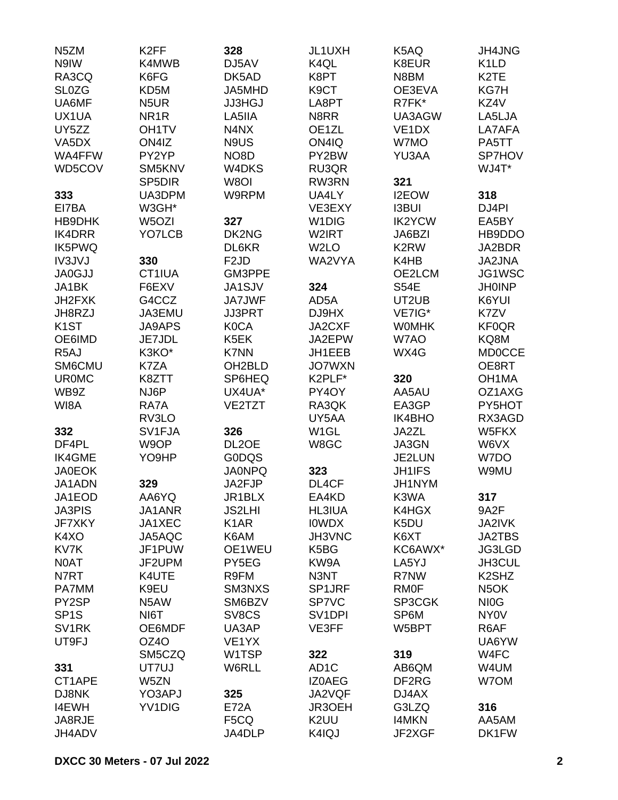| N <sub>5</sub> ZM  | K <sub>2FF</sub>    | 328                 | JL1UXH              | K5AQ               | <b>JH4JNG</b>                  |
|--------------------|---------------------|---------------------|---------------------|--------------------|--------------------------------|
| N9IW               | K4MWB               | DJ5AV               | K4QL                | K8EUR              | K <sub>1</sub> L <sub>D</sub>  |
| RA3CQ              | K6FG                | DK5AD               | K8PT                | N8BM               | K <sub>2</sub> TE              |
| <b>SL0ZG</b>       | KD5M                | JA5MHD              | K9CT                | OE3EVA             | KG7H                           |
| UA6MF              | N <sub>5</sub> UR   | <b>JJ3HGJ</b>       | LA8PT               | R7FK*              | KZ4V                           |
| UX1UA              | NR <sub>1</sub> R   | LA5IIA              | N8RR                | UA3AGW             | LA5LJA                         |
| UY5ZZ              | OH <sub>1</sub> TV  | N4NX                | OE1ZL               | VE <sub>1</sub> DX | LA7AFA                         |
| VA <sub>5</sub> DX | ON4IZ               | N9US                | ON4IQ               | W7MO               | PA5TT                          |
| <b>WA4FFW</b>      | PY2YP               | NO <sub>8</sub> D   | PY2BW               | YU3AA              | SP7HOV                         |
| WD5COV             | SM5KNV              | W4DKS               | RU3QR               |                    | WJ4T*                          |
|                    | SP <sub>5</sub> DIR | W8OI                | RW3RN               | 321                |                                |
| 333                | UA3DPM              | W9RPM               | UA4LY               | I2EOW              | 318                            |
| EI7BA              | W3GH*               |                     | VE3EXY              | <b>I3BUI</b>       | DJ4PI                          |
| HB9DHK             | W5OZI               | 327                 | W <sub>1</sub> DIG  | <b>IK2YCW</b>      | EA5BY                          |
| <b>IK4DRR</b>      | YO7LCB              | DK2NG               | W2IRT               | JA6BZI             | HB9DDO                         |
| <b>IK5PWQ</b>      |                     | DL6KR               | W <sub>2</sub> LO   | K <sub>2</sub> RW  | JA2BDR                         |
| <b>IV3JVJ</b>      | 330                 | F <sub>2</sub> JD   | WA2VYA              | K4HB               | JA2JNA                         |
|                    | CT1IUA              | GM3PPE              |                     | OE2LCM             | JG1WSC                         |
| <b>JA0GJJ</b>      |                     |                     |                     |                    |                                |
| JA1BK              | F6EXV               | JA1SJV              | 324                 | <b>S54E</b>        | <b>JH0INP</b>                  |
| JH2FXK             | G4CCZ               | <b>JA7JWF</b>       | AD5A                | UT2UB              | K6YUI                          |
| JH8RZJ             | JA3EMU              | <b>JJ3PRT</b>       | DJ9HX               | VE7IG*             | K7ZV                           |
| K <sub>1</sub> ST  | <b>JA9APS</b>       | <b>K0CA</b>         | JA2CXF              | <b>WOMHK</b>       | <b>KF0QR</b>                   |
| OE6IMD             | JE7JDL              | K5EK                | JA2EPW              | W7AO               | KQ8M                           |
| R <sub>5</sub> AJ  | K3KO*               | <b>K7NN</b>         | JH1EEB              | WX4G               | <b>MD0CCE</b>                  |
| SM6CMU             | K7ZA                | OH <sub>2</sub> BLD | <b>JO7WXN</b>       |                    | OE8RT                          |
| <b>UR0MC</b>       | K8ZTT               | SP6HEQ              | K2PLF*              | 320                | OH <sub>1</sub> MA             |
| WB9Z               | NJ6P                | UX4UA*              | PY4OY               | AA5AU              | OZ1AXG                         |
| WI8A               | RA7A                | VE2TZT              | RA3QK               | EA3GP              | PY5HOT                         |
|                    | RV3LO               |                     | UY5AA               | <b>IK4BHO</b>      | RX3AGD                         |
| 332                | SV1FJA              | 326                 | W <sub>1</sub> GL   | JA2ZL              | W5FKX                          |
| DF4PL              | W9OP                | DL <sub>2</sub> OE  | W8GC                | JA3GN              | W6VX                           |
| <b>IK4GME</b>      | YO9HP               | <b>GODQS</b>        |                     | JE2LUN             | W7DO                           |
| <b>JA0EOK</b>      |                     | <b>JA0NPQ</b>       | 323                 | <b>JH1IFS</b>      | W9MU                           |
| JA1ADN             | 329                 | JA2FJP              | DL4CF               | JH1NYM             |                                |
| JA1EOD             | AA6YQ               | JR1BLX              | EA4KD               | K3WA               | 317                            |
| <b>JA3PIS</b>      | JA1ANR              | <b>JS2LHI</b>       | <b>HL3IUA</b>       | K4HGX              | 9A2F                           |
| JF7XKY             | JA1XEC              | K <sub>1</sub> AR   | <b>IOWDX</b>        | K5DU               | JA2IVK                         |
| K4XO               | JA5AQC              | K6AM                | JH3VNC              | K6XT               | <b>JA2TBS</b>                  |
| KV7K               | JF1PUW              | OE1WEU              | K5BG                | KC6AWX*            | JG3LGD                         |
| N0AT               | JF2UPM              | PY5EG               | KW9A                | LA5YJ              | JH3CUL                         |
| N7RT               | K4UTE               | R9FM                | N3NT                | R7NW               | K <sub>2</sub> SH <sub>Z</sub> |
| PA7MM              | K9EU                | SM3NXS              | SP1JRF              | <b>RMOF</b>        | N <sub>5</sub> OK              |
| PY2SP              | N <sub>5</sub> AW   | SM6BZV              | <b>SP7VC</b>        | SP3CGK             | NI <sub>O</sub> G              |
| SP <sub>1</sub> S  | NI6T                | SV8CS               | SV <sub>1</sub> DPI | SP6M               | NY <sub>0</sub> V              |
| SV <sub>1RK</sub>  | OE6MDF              | UA3AP               | VE3FF               | W5BPT              | R6AF                           |
| UT9FJ              | OZ4O                | VE <sub>1</sub> YX  |                     |                    | UA6YW                          |
|                    | SM5CZQ              | W1TSP               | 322                 | 319                | W4FC                           |
| 331                | UT7UJ               | W6RLL               | AD <sub>1</sub> C   | AB6QM              | W4UM                           |
| CT1APE             | W5ZN                |                     | <b>IZ0AEG</b>       | DF <sub>2</sub> RG | W7OM                           |
| DJ8NK              | YO3APJ              |                     |                     |                    |                                |
|                    |                     | 325                 | JA2VQF              | DJ4AX              |                                |
| <b>I4EWH</b>       | YV1DIG              | <b>E72A</b>         | JR3OEH              | G3LZQ              | 316                            |
| JA8RJE             |                     | F <sub>5</sub> CQ   | K2UU                | <b>I4MKN</b>       | AA5AM                          |
| JH4ADV             |                     | JA4DLP              | K4IQJ               | JF2XGF             | DK1FW                          |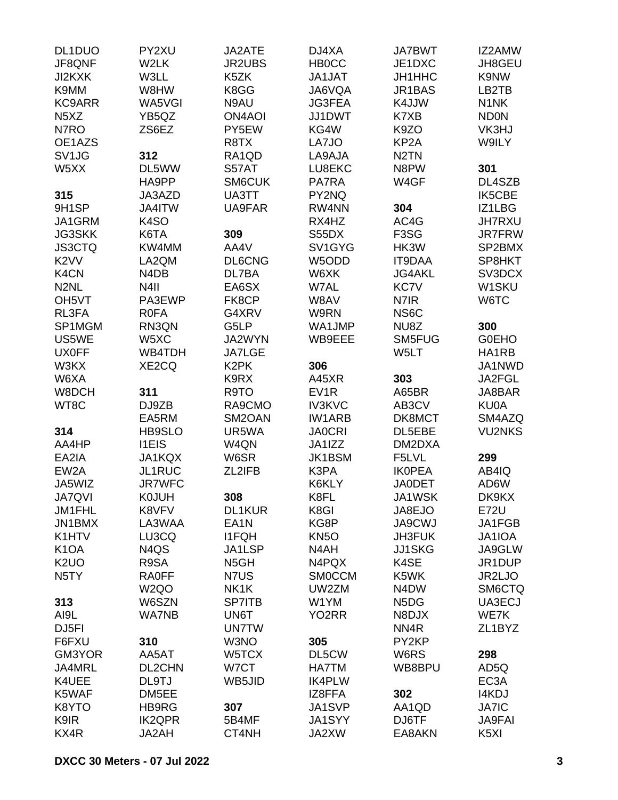| DL1DUO                        | PY2XU             | JA2ATE            | DJ4XA              | <b>JA7BWT</b>                 | IZ2AMW              |
|-------------------------------|-------------------|-------------------|--------------------|-------------------------------|---------------------|
| JF8QNF                        | W2LK              | <b>JR2UBS</b>     | <b>HB0CC</b>       | JE1DXC                        | JH8GEU              |
| JI2KXK                        | W3LL              | K5ZK              | JA1JAT             | JH1HHC                        | K9NW                |
| K9MM                          | W8HW              | K8GG              | JA6VQA             | JR1BAS                        | LB2TB               |
| <b>KC9ARR</b>                 | WA5VGI            | N9AU              | <b>JG3FEA</b>      | K4JJW                         | N <sub>1</sub> NK   |
| N <sub>5</sub> X <sub>Z</sub> | YB5QZ             | <b>ON4AOI</b>     | JJ1DWT             | K7XB                          | <b>ND0N</b>         |
| N7RO                          | ZS6EZ             | PY5EW             | KG4W               | K9ZO                          | VK3HJ               |
| OE1AZS                        |                   | R8TX              | LA7JO              | KP <sub>2</sub> A             | W9ILY               |
| SV <sub>1</sub> JG            | 312               | RA1QD             | LA9AJA             | N <sub>2</sub> TN             |                     |
| W5XX                          | DL5WW             | S57AT             | LU8EKC             | N8PW                          | 301                 |
|                               | HA9PP             | SM6CUK            | PA7RA              | W4GF                          | DL4SZB              |
| 315                           | JA3AZD            | UA3TT             | PY2NQ              |                               | <b>IK5CBE</b>       |
| 9H1SP                         | JA4ITW            | UA9FAR            | RW4NN              | 304                           | IZ1LBG              |
| JA1GRM                        | K <sub>4</sub> SO |                   | RX4HZ              | AC4G                          | <b>JH7RXU</b>       |
| <b>JG3SKK</b>                 | K6TA              | 309               | S55DX              | F <sub>3</sub> SG             | JR7FRW              |
| <b>JS3CTQ</b>                 | KW4MM             | AA4V              | SV1GYG             | HK3W                          | SP2BMX              |
|                               | LA2QM             |                   |                    |                               | SP8HKT              |
| K <sub>2</sub> VV             |                   | <b>DL6CNG</b>     | W5ODD              | <b>IT9DAA</b>                 |                     |
| K4CN                          | N4DB              | DL7BA             | W6XK               | <b>JG4AKL</b>                 | SV3DCX              |
| N <sub>2</sub> NL             | N <sub>4</sub> II | EA6SX             | W7AL               | <b>KC7V</b>                   | W1SKU               |
| OH <sub>5</sub> VT            | PA3EWP            | FK8CP             | W8AV               | N7IR                          | W6TC                |
| RL3FA                         | <b>R0FA</b>       | G4XRV             | W9RN               | NS6C                          |                     |
| SP1MGM                        | RN3QN             | G5LP              | WA1JMP             | NU8Z                          | 300                 |
| US5WE                         | W5XC              | JA2WYN            | WB9EEE             | SM5FUG                        | <b>G0EHO</b>        |
| <b>UX0FF</b>                  | WB4TDH            | <b>JA7LGE</b>     |                    | W5LT                          | HA1RB               |
| W3KX                          | XE2CQ             | K <sub>2</sub> PK | 306                |                               | JA1NWD              |
| W6XA                          |                   | K9RX              | A45XR              | 303                           | JA2FGL              |
| W8DCH                         | 311               | R9TO              | EV <sub>1</sub> R  | A65BR                         | JA8BAR              |
| WT8C                          | DJ9ZB             | RA9CMO            | <b>IV3KVC</b>      | AB3CV                         | <b>KU0A</b>         |
|                               | EA5RM             | SM2OAN            | <b>IW1ARB</b>      | DK8MCT                        | SM4AZQ              |
| 314                           | HB9SLO            | UR5WA             | <b>JA0CRI</b>      | DL5EBE                        | <b>VU2NKS</b>       |
| AA4HP                         | <b>I1EIS</b>      | W4QN              | JA1IZZ             | DM2DXA                        |                     |
| EA2IA                         | JA1KQX            | W6SR              | <b>JK1BSM</b>      | F5LVL                         | 299                 |
| EW <sub>2</sub> A             | JL1RUC            | ZL2IFB            | K3PA               | <b>IKOPEA</b>                 | AB4IQ               |
| JA5WIZ                        | <b>JR7WFC</b>     |                   | K6KLY              | <b>JA0DET</b>                 | AD6W                |
| <b>JA7QVI</b>                 | <b>KOJUH</b>      | 308               | K8FL               | JA1WSK                        | DK9KX               |
| JM1FHL                        | K8VFV             | <b>DL1KUR</b>     | K8GI               | JA8EJO                        | <b>E72U</b>         |
| JN1BMX                        | LA3WAA            | EA <sub>1</sub> N | KG8P               | <b>JA9CWJ</b>                 | JA1FGB              |
| K1HTV                         | LU3CQ             | <b>I1FQH</b>      | <b>KN5O</b>        | <b>JH3FUK</b>                 | JA1IOA              |
| K <sub>1</sub> OA             | N4QS              | JA1LSP            | N4AH               | <b>JJ1SKG</b>                 | JA9GLW              |
| K <sub>2</sub> UO             | R9SA              | N <sub>5</sub> GH | N4PQX              | K4SE                          | JR1DUP              |
| N <sub>5</sub> TY             | <b>RA0FF</b>      | N7US              | <b>SMOCCM</b>      | K5WK                          | JR2LJO              |
|                               | W <sub>2</sub> QO | NK1K              | UW2ZM              | N <sub>4</sub> D <sub>W</sub> | SM6CTQ              |
| 313                           | W6SZN             | <b>SP7ITB</b>     | W1YM               | N <sub>5</sub> D <sub>G</sub> | UA3ECJ              |
| AI9L                          | <b>WA7NB</b>      | UN6T              | YO <sub>2</sub> RR | N8DJX                         | WE7K                |
| DJ <sub>5FI</sub>             |                   | <b>UN7TW</b>      |                    | NN4R                          | ZL <sub>1</sub> BYZ |
|                               |                   |                   | 305                | PY2KP                         |                     |
| F6FXU                         | 310               | W3NO              |                    |                               |                     |
| GM3YOR                        | AA5AT             | W5TCX             | DL5CW              | W6RS                          | 298                 |
| JA4MRL                        | DL2CHN            | W7CT              | <b>HA7TM</b>       | WB8BPU                        | AD5Q                |
| K4UEE                         | DL9TJ             | WB5JID            | <b>IK4PLW</b>      |                               | EC <sub>3</sub> A   |
| K5WAF                         | DM5EE             |                   | IZ8FFA             | 302                           | I4KDJ               |
| K8YTO                         | HB9RG             | 307               | JA1SVP             | AA1QD                         | <b>JA7IC</b>        |
| K9IR                          | <b>IK2QPR</b>     | 5B4MF             | <b>JA1SYY</b>      | DJ6TF                         | <b>JA9FAI</b>       |
| KX4R                          | JA2AH             | CT4NH             | JA2XW              | EA8AKN                        | K <sub>5</sub> XI   |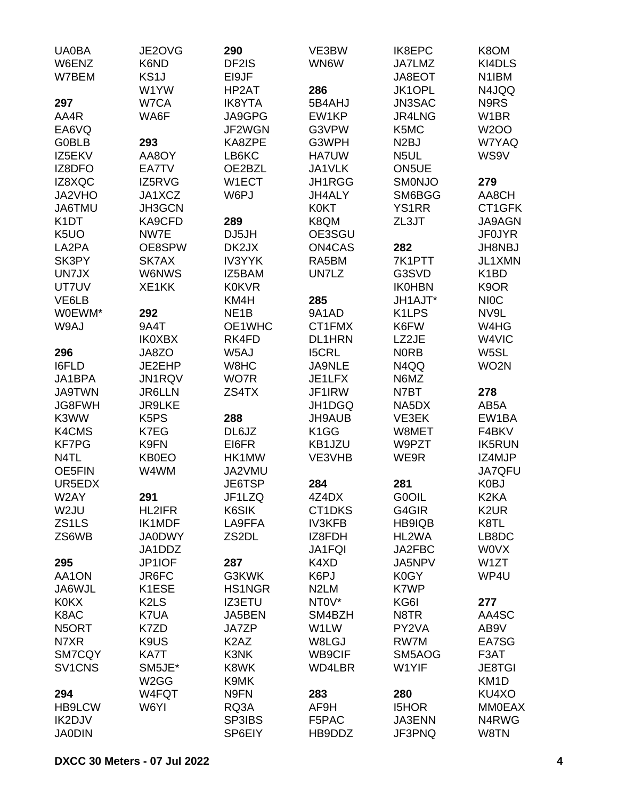| <b>UA0BA</b>        | JE2OVG                        | 290                           | VE3BW             | IK8EPC             | K8OM              |
|---------------------|-------------------------------|-------------------------------|-------------------|--------------------|-------------------|
| W6ENZ               | K6ND                          | DF2IS                         | WN6W              | JA7LMZ             | KI4DLS            |
| W7BEM               | KS <sub>1</sub> J             | EI9JF                         |                   | JA8EOT             | N1IBM             |
|                     | W1YW                          | HP2AT                         | 286               | JK1OPL             | N4JQQ             |
| 297                 | W7CA                          | <b>IK8YTA</b>                 | 5B4AHJ            | JN3SAC             | N9RS              |
| AA4R                | WA6F                          | JA9GPG                        | EW1KP             | JR4LNG             | W <sub>1</sub> BR |
| EA6VQ               |                               | JF2WGN                        | G3VPW             | K5MC               | <b>W2OO</b>       |
| <b>G0BLB</b>        | 293                           | KA8ZPE                        | G3WPH             | N <sub>2</sub> BJ  | W7YAQ             |
| IZ5EKV              | AA8OY                         | LB6KC                         | HA7UW             | N5UL               | WS9V              |
| IZ8DFO              | EA7TV                         | OE2BZL                        | JA1VLK            | ON <sub>5</sub> UE |                   |
| IZ8XQC              | IZ5RVG                        | W1ECT                         | JH1RGG            | <b>SMONJO</b>      | 279               |
| JA2VHO              | JA1XCZ                        | W6PJ                          | <b>JH4ALY</b>     | SM6BGG             | AA8CH             |
| JA6TMU              | JH3GCN                        |                               | <b>K0KT</b>       | <b>YS1RR</b>       | CT1GFK            |
| K <sub>1</sub> DT   | KA9CFD                        | 289                           | K8QM              | ZL3JT              | <b>JA9AGN</b>     |
| K <sub>5</sub> UO   | NW7E                          | DJ5JH                         | OE3SGU            |                    | <b>JF0JYR</b>     |
| LA2PA               | OE8SPW                        | DK2JX                         | ON4CAS            | 282                | <b>JH8NBJ</b>     |
| SK3PY               | SK7AX                         | <b>IV3YYK</b>                 | RA5BM             | 7K1PTT             | <b>JL1XMN</b>     |
| UN7JX               | <b>W6NWS</b>                  | IZ5BAM                        | UN7LZ             | G3SVD              | K <sub>1</sub> BD |
| UT7UV               | XE1KK                         | <b>K0KVR</b>                  |                   | <b>IK0HBN</b>      | K9OR              |
| VE6LB               |                               | KM4H                          | 285               | JH1AJT*            | <b>NIOC</b>       |
| W0EWM*              | 292                           | NE <sub>1</sub> B             | 9A1AD             | K <sub>1</sub> LPS | NV9L              |
| W9AJ                | 9A4T                          | OE1WHC                        | CT1FMX            | K6FW               | W4HG              |
|                     | <b>IK0XBX</b>                 | RK4FD                         | <b>DL1HRN</b>     | LZ2JE              | W4VIC             |
| 296                 | JA8ZO                         | W5AJ                          | <b>I5CRL</b>      | <b>NORB</b>        | W5SL              |
| I6FLD               | JE2EHP                        | W8HC                          | JA9NLE            | N4QQ               | WO2N              |
| JA1BPA              | JN1RQV                        | WO7R                          | JE1LFX            | N6MZ               |                   |
| <b>JA9TWN</b>       | <b>JR6LLN</b>                 | ZS4TX                         | JF1IRW            | N7BT               | 278               |
| <b>JG8FWH</b>       | <b>JR9LKE</b>                 |                               | JH1DGQ            | NA5DX              | AB5A              |
| K3WW                | K <sub>5</sub> P <sub>S</sub> | 288                           | JH9AUB            | VE3EK              | EW1BA             |
| K4CMS               | K7EG                          | DL6JZ                         | K <sub>1</sub> GG | W8MET              | F4BKV             |
| <b>KF7PG</b>        | K9FN                          | EI6FR                         | KB1JZU            | W9PZT              | <b>IK5RUN</b>     |
| N4TL                | KB0EO                         | HK1MW                         | VE3VHB            | WE9R               | IZ4MJP            |
| OE5FIN              | W4WM                          | JA2VMU                        |                   |                    | JA7QFU            |
| UR5EDX              |                               | JE6TSP                        | 284               | 281                | K0BJ              |
| W2AY                | 291                           | JF1LZQ                        | 4Z4DX             | G0OIL              | K <sub>2</sub> KA |
| W <sub>2</sub> JU   | <b>HL2IFR</b>                 | K6SIK                         | CT1DKS            | G4GIR              | K <sub>2</sub> UR |
| ZS1LS               | IK1MDF                        | LA9FFA                        | <b>IV3KFB</b>     | HB9IQB             | K8TL              |
| ZS6WB               | <b>JA0DWY</b>                 | ZS2DL                         | IZ8FDH            | HL2WA              | LB8DC             |
|                     | JA1DDZ                        |                               | JA1FQI            | JA2FBC             | <b>WOVX</b>       |
| 295                 | JP1IOF                        | 287                           | K4XD              | JA5NPV             | W <sub>1</sub> ZT |
| AA1ON               | JR6FC                         | G3KWK                         | K6PJ              | K0GY               | WP4U              |
| JA6WJL              | K1ESE                         | HS1NGR                        | N <sub>2</sub> LM | K7WP               |                   |
| <b>K0KX</b>         | K <sub>2</sub> L <sub>S</sub> | <b>IZ3ETU</b>                 | NT0V*             | KG6I               | 277               |
| K8AC                | K7UA                          | JA5BEN                        | SM4BZH            | N8TR               | AA4SC             |
| N5ORT               | K7ZD                          | <b>JA7ZP</b>                  | W1LW              | PY2VA              | AB9V              |
| N7XR                | K9US                          | K <sub>2</sub> A <sub>Z</sub> | W8LGJ             | RW7M               | EA7SG             |
| SM7CQY              | KA7T                          | K3NK                          | WB9CIF            | SM5AOG             | F3AT              |
| SV <sub>1</sub> CNS | SM5JE*                        | K8WK                          | WD4LBR            | W1YIF              | <b>JE8TGI</b>     |
|                     | W <sub>2</sub> GG             | K9MK                          |                   |                    | KM <sub>1</sub> D |
| 294                 | W4FQT                         | N9FN                          | 283               | 280                | KU4XO             |
| <b>HB9LCW</b>       | W6YI                          | RQ3A                          | AF9H              | <b>I5HOR</b>       | <b>MM0EAX</b>     |
| IK2DJV              |                               | SP3IBS                        | F5PAC             | JA3ENN             | N4RWG             |
| <b>JA0DIN</b>       |                               | SP6EIY                        | HB9DDZ            | JF3PNQ             | W8TN              |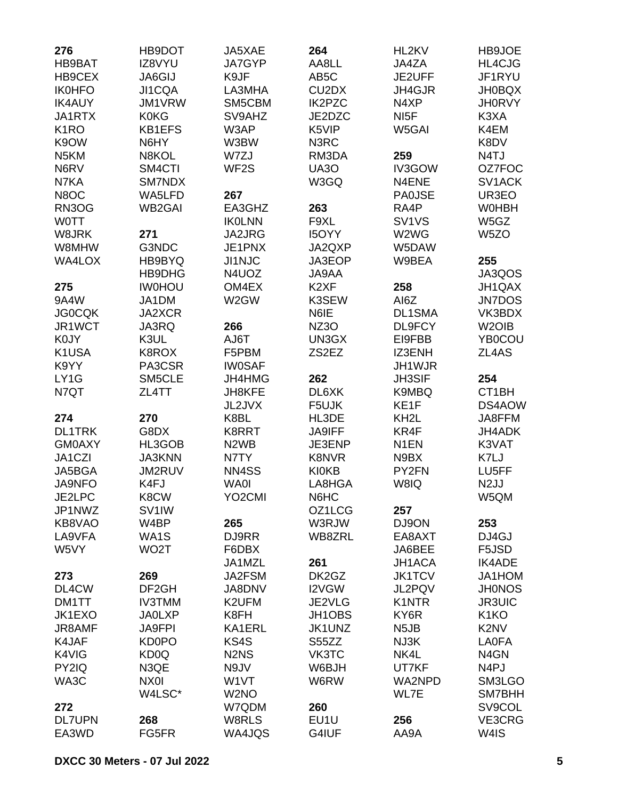| 276               | HB9DOT             | JA5XAE                        | 264                            | HL2KV                          | HB9JOE             |
|-------------------|--------------------|-------------------------------|--------------------------------|--------------------------------|--------------------|
| HB9BAT            | IZ8VYU             | <b>JA7GYP</b>                 | AA8LL                          | JA4ZA                          | HL4CJG             |
| HB9CEX            | <b>JA6GIJ</b>      | K9JF                          | AB <sub>5</sub> C              | JE2UFF                         | JF1RYU             |
| <b>IK0HFO</b>     | JI1CQA             | LA3MHA                        | CU <sub>2</sub> D <sub>X</sub> | JH4GJR                         | <b>JH0BQX</b>      |
| <b>IK4AUY</b>     | JM1VRW             | SM5CBM                        | <b>IK2PZC</b>                  | N4XP                           | <b>JH0RVY</b>      |
| JA1RTX            | <b>K0KG</b>        | SV9AHZ                        | JE2DZC                         | NI <sub>5</sub> F              | K3XA               |
| K <sub>1</sub> RO | <b>KB1EFS</b>      | W3AP                          | K5VIP                          | W5GAI                          | K4EM               |
| K9OW              | N6HY               | W3BW                          | N3RC                           |                                | K8DV               |
| N <sub>5</sub> KM | N8KOL              | W7ZJ                          | RM3DA                          | 259                            | N4TJ               |
| N6RV              | SM4CTI             | WF <sub>2</sub> S             | <b>UA30</b>                    | IV3GOW                         | OZ7FOC             |
| N7KA              | SM7NDX             |                               | W3GQ                           | N4ENE                          | SV1ACK             |
| N8OC              | WA5LFD             | 267                           |                                | <b>PA0JSE</b>                  | UR3EO              |
| RN3OG             | <b>WB2GAI</b>      | EA3GHZ                        | 263                            | RA4P                           | <b>WOHBH</b>       |
| <b>WOTT</b>       |                    | <b>IKOLNN</b>                 | F9XL                           | SV <sub>1</sub> V <sub>S</sub> | W5GZ               |
|                   | 271                |                               |                                |                                |                    |
| W8JRK             |                    | JA2JRG                        | <b>I5OYY</b>                   | W2WG                           | W <sub>5</sub> ZO  |
| W8MHW             | G3NDC              | JE1PNX                        | JA2QXP                         | W5DAW                          |                    |
| <b>WA4LOX</b>     | HB9BYQ             | JI1NJC                        | JA3EOP                         | W9BEA                          | 255                |
|                   | HB9DHG             | N4UOZ                         | JA9AA                          |                                | JA3QOS             |
| 275               | <b>IW0HOU</b>      | OM4EX                         | K <sub>2</sub> XF              | 258                            | JH1QAX             |
| 9A4W              | JA1DM              | W2GW                          | K3SEW                          | AI6Z                           | <b>JN7DOS</b>      |
| <b>JG0CQK</b>     | <b>JA2XCR</b>      |                               | N6IE                           | DL1SMA                         | VK3BDX             |
| JR1WCT            | JA3RQ              | 266                           | <b>NZ3O</b>                    | DL9FCY                         | W <sub>2</sub> OIB |
| K0JY              | K3UL               | AJ6T                          | UN3GX                          | EI9FBB                         | YB0COU             |
| K1USA             | K8ROX              | F5PBM                         | ZS2EZ                          | IZ3ENH                         | ZL4AS              |
| K9YY              | PA3CSR             | <b>IW0SAF</b>                 |                                | JH1WJR                         |                    |
| LY1G              | SM5CLE             | JH4HMG                        | 262                            | JH3SIF                         | 254                |
| N7QT              | ZL4TT              | JH8KFE                        | DL6XK                          | K9MBQ                          | CT1BH              |
|                   |                    | JL2JVX                        | F5UJK                          | KE1F                           | DS4AOW             |
| 274               | 270                | K8BL                          | HL3DE                          | KH <sub>2</sub> L              | JA8FFM             |
| <b>DL1TRK</b>     | G8DX               | K8RRT                         | <b>JA9IFF</b>                  | KR4F                           | <b>JH4ADK</b>      |
| <b>GM0AXY</b>     | HL3GOB             | N <sub>2</sub> W <sub>B</sub> | JE3ENP                         | N <sub>1</sub> EN              | K3VAT              |
| JA1CZI            | <b>JA3KNN</b>      | N7TY                          | K8NVR                          | N9BX                           | K7LJ               |
| JA5BGA            | JM2RUV             | NN4SS                         | <b>KI0KB</b>                   | PY2FN                          | LU5FF              |
| <b>JA9NFO</b>     | K4FJ               | <b>WA0I</b>                   | LA8HGA                         | W8IQ                           | N <sub>2</sub> JJ  |
| JE2LPC            | K8CW               | YO <sub>2</sub> CMI           | N6HC                           |                                | W5QM               |
| JP1NWZ            | SV <sub>1</sub> IW |                               | OZ1LCG                         | 257                            |                    |
| KB8VAO            | W4BP               | 265                           | W3RJW                          | DJ9ON                          | 253                |
| LA9VFA            | WA1S               | DJ9RR                         | WB8ZRL                         | EA8AXT                         | DJ4GJ              |
| W5VY              | WO <sub>2</sub> T  | F6DBX                         |                                | JA6BEE                         | F5JSD              |
|                   |                    |                               |                                |                                |                    |
|                   |                    | JA1MZL                        | 261                            | JH1ACA                         | <b>IK4ADE</b>      |
| 273               | 269                | JA2FSM                        | DK2GZ                          | <b>JK1TCV</b>                  | JA1HOM             |
| DL4CW             | DF <sub>2</sub> GH | JA8DNV                        | I2VGW                          | JL2PQV                         | <b>JH0NOS</b>      |
| DM1TT             | <b>IV3TMM</b>      | K2UFM                         | JE2VLG                         | K1NTR                          | <b>JR3UIC</b>      |
| JK1EXO            | <b>JA0LXP</b>      | K8FH                          | JH1OBS                         | KY6R                           | K <sub>1</sub> KO  |
| JR8AMF            | <b>JA9FPI</b>      | KA1ERL                        | JK1UNZ                         | N <sub>5</sub> JB              | K2NV               |
| K4JAF             | KD0PO              | KS4S                          | S55ZZ                          | NJ3K                           | <b>LA0FA</b>       |
| K4VIG             | KD <sub>0</sub> Q  | N <sub>2</sub> N <sub>S</sub> | VK3TC                          | NK4L                           | N <sub>4</sub> GN  |
| PY2IQ             | N3QE               | N9JV                          | W6BJH                          | UT7KF                          | N <sub>4</sub> PJ  |
| WA3C              | NX0I               | W1VT                          | W6RW                           | WA2NPD                         | SM3LGO             |
|                   | W4LSC*             | W <sub>2</sub> NO             |                                | WL7E                           | SM7BHH             |
| 272               |                    | W7QDM                         | 260                            |                                | SV9COL             |
| <b>DL7UPN</b>     | 268                | W8RLS                         | EU1U                           | 256                            | VE3CRG             |
| EA3WD             | FG5FR              | WA4JQS                        | G4IUF                          | AA9A                           | W4IS               |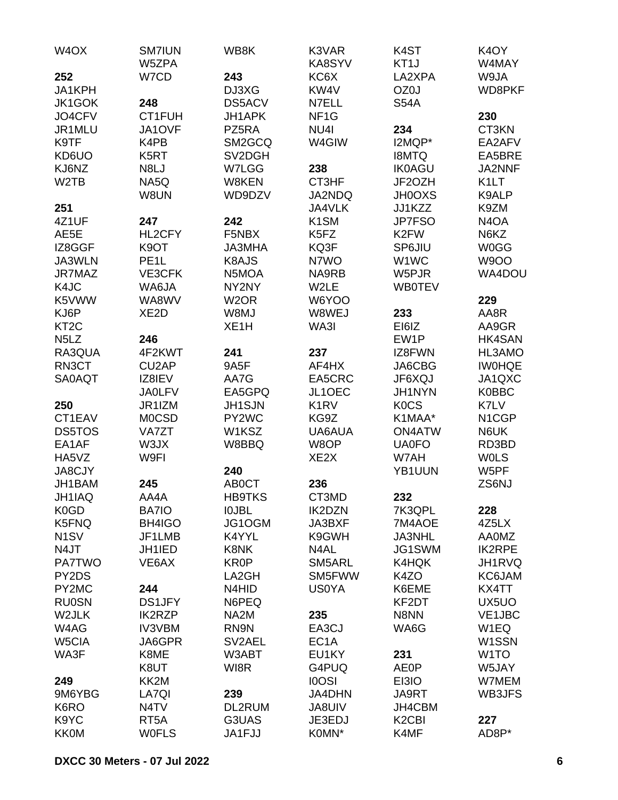| W <sub>4</sub> OX             | <b>SM7IUN</b><br>W5ZPA | WB8K              | K3VAR<br>KA8SYV               | K <sub>4</sub> ST<br>KT <sub>1</sub> J | K <sub>4</sub> OY<br>W4MAY |
|-------------------------------|------------------------|-------------------|-------------------------------|----------------------------------------|----------------------------|
| 252                           | W7CD                   | 243               | KC6X                          | LA2XPA                                 | W9JA                       |
| JA1KPH                        |                        | DJ3XG             | KW4V                          | OZ0J                                   | WD8PKF                     |
| JK1GOK                        | 248                    | DS5ACV            | N7ELL                         | <b>S54A</b>                            |                            |
| JO4CFV                        | CT1FUH                 | JH1APK            | NF <sub>1</sub> G             |                                        | 230                        |
|                               |                        |                   |                               |                                        |                            |
| JR1MLU                        | JA1OVF                 | PZ5RA             | NU <sub>4</sub>               | 234                                    | CT3KN                      |
| K9TF                          | K4PB                   | SM2GCQ            | W4GIW                         | I2MQP*                                 | EA2AFV                     |
| KD6UO                         | K5RT                   | SV2DGH            |                               | <b>I8MTQ</b>                           | EA5BRE                     |
| KJ6NZ                         | N8LJ                   | W7LGG             | 238                           | <b>IK0AGU</b>                          | JA2NNF                     |
| W <sub>2</sub> TB             | NA5Q                   | W8KEN             | CT3HF                         | JF2OZH                                 | K <sub>1</sub> LT          |
|                               | W8UN                   | WD9DZV            | JA2NDQ                        | <b>JH0OXS</b>                          | K9ALP                      |
| 251                           |                        |                   | JA4VLK                        | JJ1KZZ                                 | K9ZM                       |
| 4Z1UF                         | 247                    | 242               | K <sub>1</sub> SM             | JP7FSO                                 | N <sub>4</sub> OA          |
| AE5E                          | HL2CFY                 | F5NBX             | K5FZ                          | K <sub>2</sub> FW                      | N6KZ                       |
| IZ8GGF                        | K <sub>9</sub> OT      | JA3MHA            | KQ3F                          | SP6JIU                                 | <b>W0GG</b>                |
| JA3WLN                        | PE <sub>1</sub> L      | K8AJS             | N7WO                          | W1WC                                   | <b>W9OO</b>                |
| JR7MAZ                        | VE3CFK                 | N5MOA             | NA9RB                         | W5PJR                                  | WA4DOU                     |
| K4JC                          | WA6JA                  | NY2NY             | W2LE                          | <b>WB0TEV</b>                          |                            |
| K5VWW                         | WA8WV                  | W <sub>2</sub> OR | W6YOO                         |                                        | 229                        |
| KJ6P                          | XE <sub>2</sub> D      | W8MJ              | W8WEJ                         | 233                                    | AA8R                       |
| KT <sub>2</sub> C             |                        | XE <sub>1</sub> H | WA3I                          | EI6IZ                                  | AA9GR                      |
| N <sub>5</sub> L <sub>Z</sub> | 246                    |                   |                               | EW1P                                   | HK4SAN                     |
| RA3QUA                        | 4F2KWT                 | 241               | 237                           | IZ8FWN                                 | HL3AMO                     |
| RN3CT                         | CU <sub>2</sub> AP     | 9A5F              | AF4HX                         | JA6CBG                                 | <b>IWOHQE</b>              |
|                               |                        |                   |                               |                                        |                            |
| SA0AQT                        | IZ8IEV                 | AA7G              | EA5CRC                        | JF6XQJ                                 | JA1QXC                     |
|                               | <b>JA0LFV</b>          | EA5GPQ            | JL1OEC                        | <b>JH1NYN</b>                          | <b>K0BBC</b>               |
| 250                           | JR1IZM                 | JH1SJN            | K <sub>1</sub> R <sub>V</sub> | <b>KOCS</b>                            | K7LV                       |
| CT1EAV                        | <b>MOCSD</b>           | PY2WC             | KG9Z                          | K1MAA*                                 | N1CGP                      |
| <b>DS5TOS</b>                 | <b>VA7ZT</b>           | W1KSZ             | UA6AUA                        | <b>ON4ATW</b>                          | N6UK                       |
| EA1AF                         | W3JX                   | W8BBQ             | W8OP                          | <b>UA0FO</b>                           | RD3BD                      |
| HA5VZ                         | W9FI                   |                   | XE <sub>2</sub> X             | W7AH                                   | <b>WOLS</b>                |
| <b>JA8CJY</b>                 |                        | 240               |                               | YB1UUN                                 | W5PF                       |
| JH1BAM                        | 245                    | AB0CT             | 236                           |                                        | ZS6NJ                      |
| JH1IAQ                        | AA4A                   | <b>HB9TKS</b>     | CT3MD                         | 232                                    |                            |
| K0GD                          | <b>BA7IO</b>           | <b>IOJBL</b>      | <b>IK2DZN</b>                 | 7K3QPL                                 | 228                        |
| K5FNQ                         | BH4IGO                 | JG1OGM            | JA3BXF                        | 7M4AOE                                 | 4Z5LX                      |
| N <sub>1</sub> SV             | JF1LMB                 | K4YYL             | K9GWH                         | <b>JA3NHL</b>                          | <b>AA0MZ</b>               |
| N4JT                          | JH1IED                 | K8NK              | N4AL                          | JG1SWM                                 | <b>IK2RPE</b>              |
| <b>PA7TWO</b>                 | VE6AX                  | <b>KR0P</b>       | SM5ARL                        | K4HQK                                  | JH1RVQ                     |
| PY2DS                         |                        | LA2GH             | SM5FWW                        | K4ZO                                   | KC6JAM                     |
| PY2MC                         | 244                    | N4HID             | <b>US0YA</b>                  | K6EME                                  | KX4TT                      |
| <b>RU0SN</b>                  | DS1JFY                 | N6PEQ             |                               | KF2DT                                  | UX5UO                      |
| W2JLK                         | <b>IK2RZP</b>          | NA <sub>2</sub> M | 235                           | N8NN                                   | VE1JBC                     |
| W4AG                          | <b>IV3VBM</b>          | RN9N              | EA3CJ                         | WA6G                                   | W1EQ                       |
| W5CIA                         | JA6GPR                 | SV2AEL            | EC <sub>1</sub> A             |                                        | W <sub>1</sub> SSN         |
| WA3F                          | K8ME                   | W3ABT             | EU1KY                         | 231                                    | W <sub>1</sub> TO          |
|                               |                        |                   |                               |                                        |                            |
|                               | K8UT                   | WI8R              | G4PUQ                         | <b>AE0P</b>                            | W5JAY                      |
| 249                           | KK2M                   |                   | <b>IOOSI</b>                  | EI3IO                                  | W7MEM                      |
| 9M6YBG                        | LA7QI                  | 239               | <b>JA4DHN</b>                 | JA9RT                                  | WB3JFS                     |
| K6RO                          | N4TV                   | DL2RUM            | JA8UIV                        | JH4CBM                                 |                            |
| K9YC                          | RT <sub>5</sub> A      | G3UAS             | JE3EDJ                        | K <sub>2</sub> C <sub>BI</sub>         | 227                        |
| <b>KK0M</b>                   | <b>WOFLS</b>           | JA1FJJ            | K0MN*                         | K4MF                                   | AD8P*                      |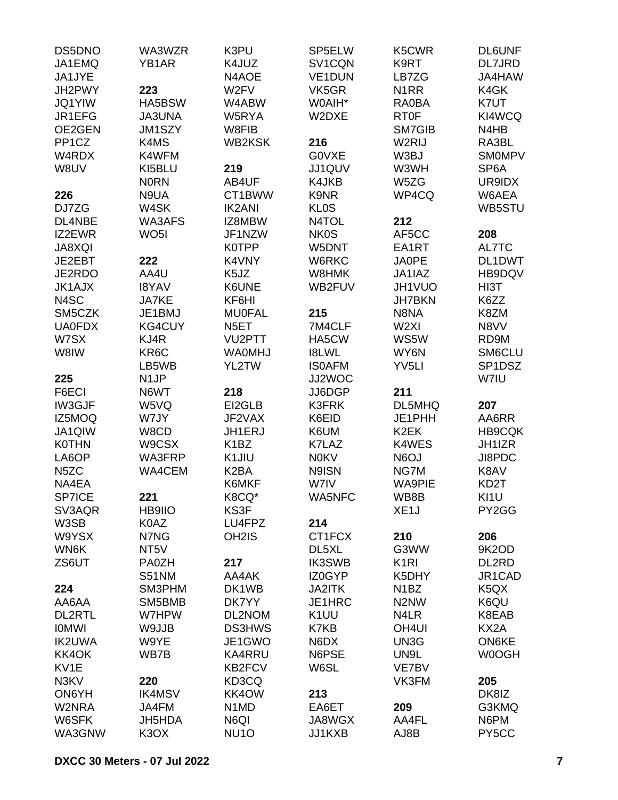| DS5DNO             | WA3WZR             | K3PU                          | SP5ELW            | K5CWR                         | <b>DL6UNF</b>     |
|--------------------|--------------------|-------------------------------|-------------------|-------------------------------|-------------------|
| JA1EMQ             | YB <sub>1</sub> AR | K4JUZ                         | SV1CQN            | K9RT                          | DL7JRD            |
| JA1JYE             |                    | N4AOE                         | <b>VE1DUN</b>     | LB7ZG                         | JA4HAW            |
| JH2PWY             | 223                | W <sub>2</sub> FV             | VK5GR             | N <sub>1</sub> RR             | K4GK              |
| <b>JQ1YIW</b>      | HA5BSW             | W4ABW                         | W0AIH*            | RA0BA                         | K7UT              |
| JR1EFG             | <b>JA3UNA</b>      | W5RYA                         | W2DXE             | <b>RT0F</b>                   | KI4WCQ            |
| OE2GEN             | JM1SZY             | W8FIB                         |                   | SM7GIB                        | N4HB              |
| PP <sub>1</sub> CZ | K4MS               | <b>WB2KSK</b>                 | 216               | W2RIJ                         |                   |
|                    |                    |                               |                   |                               | RA3BL             |
| W4RDX              | K4WFM              |                               | G0VXE             | W3BJ                          | <b>SMOMPV</b>     |
| W8UV               | KI5BLU             | 219                           | JJ1QUV            | W3WH                          | SP <sub>6</sub> A |
|                    | <b>NORN</b>        | AB4UF                         | K4JKB             | W5ZG                          | UR9IDX            |
| 226                | N9UA               | CT1BWW                        | K9NR              | WP4CQ                         | W6AEA             |
| DJ7ZG              | W4SK               | <b>IK2ANI</b>                 | <b>KLOS</b>       |                               | WB5STU            |
| DL4NBE             | WA3AFS             | IZ8MBW                        | N4TOL             | 212                           |                   |
| IZ2EWR             | WO <sub>5</sub> I  | JF1NZW                        | <b>NK0S</b>       | AF5CC                         | 208               |
| <b>JA8XQI</b>      |                    | <b>K0TPP</b>                  | W5DNT             | EA1RT                         | AL7TC             |
| JE2EBT             | 222                | K4VNY                         | W6RKC             | JA0PE                         | DL1DWT            |
| JE2RDO             | AA4U               | K <sub>5</sub> JZ             | W8HMK             | JA1IAZ                        | HB9DQV            |
| <b>JK1AJX</b>      | <b>I8YAV</b>       | K6UNE                         | WB2FUV            | JH1VUO                        | HI3T              |
| N4SC               | JA7KE              | KF6HI                         |                   | <b>JH7BKN</b>                 | K6ZZ              |
| SM5CZK             | JE1BMJ             | <b>MU0FAL</b>                 | 215               | N8NA                          | K8ZM              |
| <b>UA0FDX</b>      | KG4CUY             | N <sub>5</sub> ET             | 7M4CLF            | W <sub>2XI</sub>              | N8VV              |
| W7SX               | KJ4R               | VU2PTT                        | HA5CW             | WS5W                          | RD9M              |
| W8IW               | KR <sub>6</sub> C  | <b>WA0MHJ</b>                 | <b>I8LWL</b>      | WY6N                          | SM6CLU            |
|                    | LB5WB              | YL2TW                         | <b>ISOAFM</b>     | YV <sub>5LI</sub>             | SP1DSZ            |
|                    |                    |                               | JJ2WOC            |                               | W7IU              |
| 225                | N <sub>1</sub> JP  |                               |                   | 211                           |                   |
| F6ECI              | N6WT               | 218                           | JJ6DGP            |                               |                   |
| <b>IW3GJF</b>      | W5VQ               | EI2GLB                        | <b>K3FRK</b>      | DL5MHQ                        | 207               |
| IZ5MOQ             | W7JY               | JF2VAX                        | K6EID             | JE1PHH                        | AA6RR             |
| JA1QIW             | W8CD               | JH1ERJ                        | K6UM              | K <sub>2</sub> EK             | <b>HB9CQK</b>     |
| <b>K0THN</b>       | W9CSX              | K <sub>1</sub> BZ             | K7LAZ             | K4WES                         | JH1IZR            |
| LA6OP              | WA3FRP             | K1JIU                         | <b>N0KV</b>       | N6OJ                          | JI8PDC            |
| N <sub>5</sub> ZC  | <b>WA4CEM</b>      | K <sub>2</sub> BA             | N9ISN             | NG7M                          | K8AV              |
| NA4EA              |                    | K6MKF                         | W7IV              | <b>WA9PIE</b>                 | KD <sub>2</sub> T |
| SP7ICE             | 221                | K8CQ*                         | WA5NFC            | WB8B                          | KI1U              |
| SV3AQR             | <b>HB9IIO</b>      | KS3F                          |                   | XE <sub>1</sub> J             | PY2GG             |
| W3SB               | K0AZ               | LU4FPZ                        | 214               |                               |                   |
| W9YSX              | N7NG               | OH <sub>2</sub> IS            | CT1FCX            | 210                           | 206               |
| WN6K               | NT <sub>5</sub> V  |                               | DL5XL             | G3WW                          | 9K2OD             |
| ZS6UT              | PA0ZH              | 217                           | <b>IK3SWB</b>     | K <sub>1</sub> RI             | DL2RD             |
|                    | S51NM              | AA4AK                         | IZ0GYP            | K5DHY                         | JR1CAD            |
| 224                | SM3PHM             | DK1WB                         | JA2ITK            | N <sub>1</sub> BZ             | K <sub>5</sub> QX |
| AA6AA              | SM5BMB             | DK7YY                         | JE1HRC            | N <sub>2</sub> N <sub>W</sub> | K6QU              |
| <b>DL2RTL</b>      | W7HPW              | DL2NOM                        | K <sub>1</sub> UU | N <sub>4</sub> LR             | K8EAB             |
| <b>IOMWI</b>       | W9JJB              | <b>DS3HWS</b>                 | K7KB              | OH <sub>4UI</sub>             | KX2A              |
|                    |                    |                               |                   |                               |                   |
| <b>IK2UWA</b>      | W9YE               | JE1GWO                        | N6DX              | UN3G                          | ON6KE             |
| KK4OK              | WB7B               | <b>KA4RRU</b>                 | N6PSE             | UN9L                          | W0OGH             |
| KV1E               |                    | <b>KB2FCV</b>                 | W6SL              | VE7BV                         |                   |
| N3KV               | 220                | KD3CQ                         |                   | VK3FM                         | 205               |
| ON6YH              |                    |                               |                   |                               |                   |
|                    | <b>IK4MSV</b>      | KK4OW                         | 213               |                               | DK8IZ             |
| W2NRA              | JA4FM              | N <sub>1</sub> M <sub>D</sub> | EA6ET             | 209                           | G3KMQ             |
| W6SFK              | JH5HDA             | N6QI                          | JA8WGX            | AA4FL                         | N6PM              |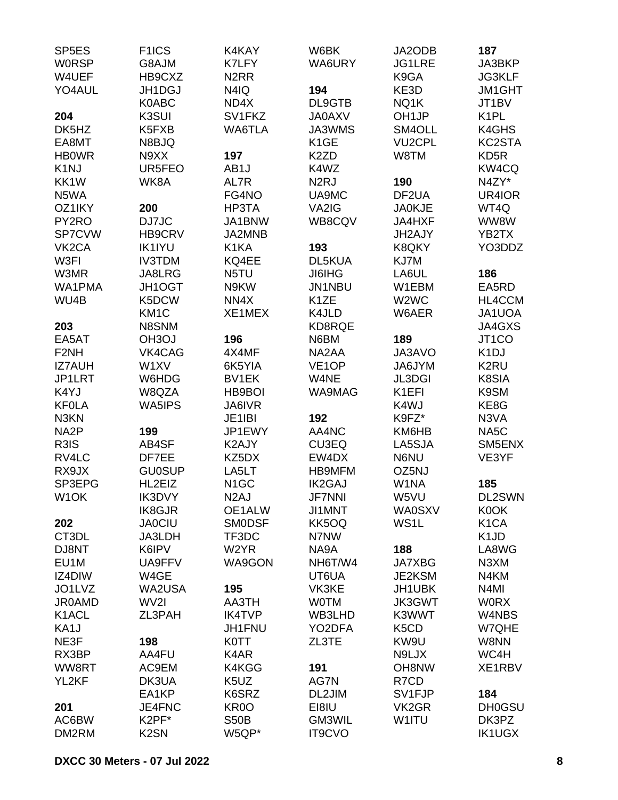| SP <sub>5E</sub> S | F <sub>1</sub> ICS | K4KAY             | W6BK               | JA2ODB                        | 187               |
|--------------------|--------------------|-------------------|--------------------|-------------------------------|-------------------|
| <b>WORSP</b>       | G8AJM              | K7LFY             | WA6URY             | <b>JG1LRE</b>                 | JA3BKP            |
| W4UEF              | HB9CXZ             | N <sub>2</sub> RR |                    | K9GA                          | <b>JG3KLF</b>     |
| YO4AUL             | JH1DGJ             | N4IQ              | 194                | KE3D                          | JM1GHT            |
|                    | K0ABC              | ND4X              | DL9GTB             | NQ1K                          | JT1BV             |
| 204                | K3SUI              | SV1FKZ            | <b>JA0AXV</b>      | OH <sub>1JP</sub>             | K <sub>1</sub> PL |
| DK5HZ              | K5FXB              | WA6TLA            | JA3WMS             | SM4OLL                        | K4GHS             |
| EA8MT              | N8BJQ              |                   | K <sub>1</sub> GE  | <b>VU2CPL</b>                 | KC2STA            |
| <b>HBOWR</b>       | N9XX               | 197               | K <sub>2</sub> ZD  | W8TM                          | KD <sub>5</sub> R |
| K <sub>1</sub> NJ  | UR5FEO             | AB1J              | K4WZ               |                               | KW4CQ             |
| KK1W               | WK8A               | AL7R              | N <sub>2</sub> RJ  | 190                           | N4ZY*             |
| N5WA               |                    | FG4NO             | UA9MC              | DF <sub>2</sub> UA            | UR4IOR            |
| OZ1IKY             | 200                | HP3TA             | VA2IG              | <b>JA0KJE</b>                 | WT4Q              |
| PY2RO              | DJ7JC              | JA1BNW            | WB8CQV             | JA4HXF                        | WW8W              |
| SP7CVW             | HB9CRV             | JA2MNB            |                    | JH2AJY                        | YB2TX             |
| VK <sub>2</sub> CA | <b>IK1IYU</b>      | K1KA              | 193                | K8QKY                         | YO3DDZ            |
| W3FI               | <b>IV3TDM</b>      | KQ4EE             | DL5KUA             | KJ7M                          |                   |
| W3MR               | JA8LRG             | N5TU              | <b>JI6IHG</b>      | LA6UL                         | 186               |
| <b>WA1PMA</b>      | JH1OGT             | N9KW              | JN1NBU             | W1EBM                         | EA5RD             |
| WU4B               | K5DCW              | NN4X              | K <sub>1</sub> ZE  | W <sub>2</sub> W <sub>C</sub> | HL4CCM            |
|                    | KM <sub>1</sub> C  | XE1MEX            | K4JLD              | W6AER                         | JA1UOA            |
| 203                | N8SNM              |                   | KD8RQE             |                               | JA4GXS            |
| EA5AT              | OH3OJ              | 196               | N6BM               | 189                           | JT1CO             |
| F <sub>2NH</sub>   | VK4CAG             | 4X4MF             | NA2AA              | JA3AVO                        | K <sub>1</sub> DJ |
| <b>IZ7AUH</b>      | W1XV               | 6K5YIA            | VE <sub>1</sub> OP | JA6JYM                        | K <sub>2</sub> RU |
| JP1LRT             | W6HDG              | <b>BV1EK</b>      | W4NE               | <b>JL3DGI</b>                 | K8SIA             |
| K4YJ               | W8QZA              | HB9BOI            | WA9MAG             | K <sub>1</sub> EFI            | K9SM              |
| <b>KF0LA</b>       | WA5IPS             | <b>JA6IVR</b>     |                    | K4WJ                          | KE8G              |
| N3KN               |                    | JE1IBI            | 192                | K9FZ*                         | N3VA              |
| NA <sub>2</sub> P  | 199                | JP1EWY            | AA4NC              | KM6HB                         | NA5C              |
| R3IS               | AB4SF              | K2AJY             | CU3EQ              | LA5SJA                        | SM5ENX            |
| RV4LC              | DF7EE              | KZ5DX             | EW4DX              | N6NU                          | VE3YF             |
| RX9JX              | <b>GU0SUP</b>      | LA5LT             | <b>HB9MFM</b>      | OZ5NJ                         |                   |
| SP3EPG             | HL2EIZ             | N <sub>1</sub> GC | <b>IK2GAJ</b>      | W1NA                          | 185               |
| W <sub>1</sub> OK  | IK3DVY             | N <sub>2</sub> AJ | <b>JF7NNI</b>      | W5VU                          | DL2SWN            |
|                    | <b>IK8GJR</b>      | OE1ALW            | JI1MNT             | <b>WA0SXV</b>                 | K0OK              |
| 202                | <b>JA0CIU</b>      | <b>SMODSF</b>     | KK5OQ              | WS1L                          | K <sub>1</sub> CA |
| CT3DL              | JA3LDH             | TF3DC             | N7NW               |                               | K <sub>1</sub> JD |
| DJ8NT              | K6IPV              | W2YR              | NA9A               | 188                           | LA8WG             |
| EU <sub>1M</sub>   | UA9FFV             | WA9GON            | NH6T/W4            | <b>JA7XBG</b>                 | N3XM              |
| IZ4DIW             | W4GE               |                   | UT6UA              | JE2KSM                        | N4KM              |
| JO1LVZ             | WA2USA             | 195               | VK3KE              | JH1UBK                        | N4MI              |
| <b>JR0AMD</b>      | WV <sub>2I</sub>   | AA3TH             | <b>WOTM</b>        | <b>JK3GWT</b>                 | <b>WORX</b>       |
| K1ACL              | ZL3PAH             | <b>IK4TVP</b>     | WB3LHD             | K3WWT                         | W4NBS             |
| KA1J               |                    | JH1FNU            | YO2DFA             | K <sub>5</sub> C <sub>D</sub> | W7QHE             |
| NE3F               | 198                | <b>K0TT</b>       | ZL3TE              | KW9U                          | W8NN              |
| RX3BP              | AA4FU              | K4AR              |                    | N9LJX                         | WC4H              |
| WW8RT              | AC9EM              | K4KGG             | 191                | OH8NW                         | XE1RBV            |
| YL2KF              | DK3UA              | K5UZ              | AG7N               | R7CD                          |                   |
|                    | EA1KP              | K6SRZ             | DL2JIM             | SV1FJP                        | 184               |
| 201                | JE4FNC             | KR <sub>0</sub> O | EI8IU              | VK <sub>2</sub> GR            | <b>DH0GSU</b>     |
| AC6BW              | K2PF*              | <b>S50B</b>       | GM3WIL             | W1ITU                         | DK3PZ             |
| DM2RM              | K <sub>2</sub> SN  | W5QP*             | IT9CVO             |                               | <b>IK1UGX</b>     |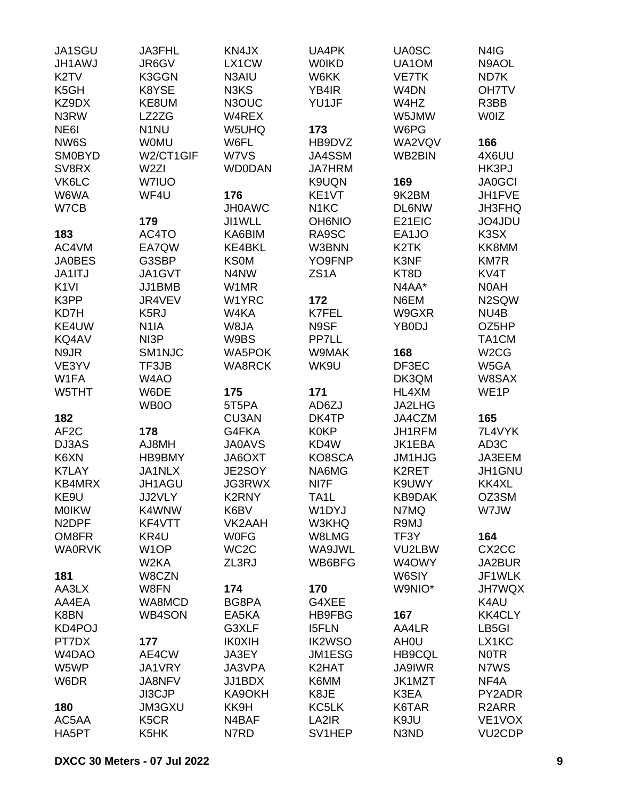| JA1SGU             | <b>JA3FHL</b>                 | KN4JX             | UA4PK             | <b>UA0SC</b>       | N4IG                |
|--------------------|-------------------------------|-------------------|-------------------|--------------------|---------------------|
| <b>JH1AWJ</b>      | JR6GV                         | LX1CW             | <b>WOIKD</b>      | UA1OM              | N9AOL               |
| K <sub>2</sub> TV  | K3GGN                         | N3AIU             | W6KK              | <b>VE7TK</b>       | ND7K                |
| K <sub>5</sub> GH  | K8YSE                         | N3KS              | YB4IR             | W <sub>4</sub> DN  | OH7TV               |
| KZ9DX              | KE8UM                         | N3OUC             | YU1JF             | W4HZ               | R3BB                |
| N3RW               | LZ2ZG                         | W4REX             |                   | W5JMW              | <b>WOIZ</b>         |
| NE6I               | N <sub>1</sub> NU             | W5UHQ             | 173               | W6PG               |                     |
|                    |                               |                   |                   |                    |                     |
| NW6S               | <b>WOMU</b>                   | W6FL              | HB9DVZ            | WA2VQV             | 166                 |
| <b>SM0BYD</b>      | W2/CT1GIF                     | W7VS              | JA4SSM            | WB2BIN             | 4X6UU               |
| SV8RX              | W <sub>2ZI</sub>              | <b>WD0DAN</b>     | <b>JA7HRM</b>     |                    | HK3PJ               |
| VK6LC              | W7IUO                         |                   | K9UQN             | 169                | <b>JA0GCI</b>       |
| W6WA               | WF4U                          | 176               | KE1VT             | 9K2BM              | JH1FVE              |
| W7CB               |                               | <b>JH0AWC</b>     | N <sub>1</sub> KC | <b>DL6NW</b>       | <b>JH3FHQ</b>       |
|                    | 179                           | JI1WLL            | <b>OH6NIO</b>     | E21EIC             | JO4JDU              |
| 183                | AC4TO                         | KA6BIM            | RA9SC             | EA1JO              | K3SX                |
| AC4VM              | EA7QW                         | KE4BKL            | W3BNN             | K <sub>2</sub> TK  | KK8MM               |
| <b>JA0BES</b>      | G3SBP                         | <b>KS0M</b>       | YO9FNP            | K3NF               | <b>KM7R</b>         |
| JA1ITJ             | JA1GVT                        | N4NW              | ZS1A              | KT8D               | KV4T                |
| K <sub>1VI</sub>   | JJ1BMB                        | W1MR              |                   | N4AA*              | N0AH                |
| K3PP               | JR4VEV                        | W1YRC             | 172               | N6EM               | N2SQW               |
| KD7H               | K <sub>5</sub> RJ             | W4KA              | K7FEL             | W9GXR              | NU <sub>4</sub> B   |
| KE4UW              | N <sub>1</sub> IA             | W8JA              | N9SF              | YB0DJ              | OZ5HP               |
| KQ4AV              | NI3P                          | W9BS              | PP7LL             |                    | TA1CM               |
| N9JR               | SM <sub>1NJC</sub>            | <b>WA5POK</b>     | W9MAK             | 168                | W <sub>2</sub> CG   |
| VE3YV              | TF3JB                         | <b>WA8RCK</b>     | WK9U              | DF3EC              | W5GA                |
| W1FA               | W4AO                          |                   |                   | DK3QM              | W8SAX               |
| W5THT              | W6DE                          | 175               | 171               | HL4XM              | WE <sub>1</sub> P   |
|                    |                               |                   |                   |                    |                     |
|                    | WB0O                          | 5T5PA             | AD6ZJ             | JA2LHG             |                     |
| 182                |                               | CU3AN             | DK4TP             | JA4CZM             | 165                 |
| AF <sub>2</sub> C  | 178                           | G4FKA             | <b>K0KP</b>       | JH1RFM             | 7L4VYK              |
| DJ3AS              | AJ8MH                         | <b>JA0AVS</b>     | KD4W              | JK1EBA             | AD <sub>3</sub> C   |
| K6XN               | HB9BMY                        | JA6OXT            | KO8SCA            | JM1HJG             | JA3EEM              |
| <b>K7LAY</b>       | JA1NLX                        | JE2SOY            | NA6MG             | K <sub>2</sub> RET | JH1GNU              |
| KB4MRX             | JH1AGU                        | <b>JG3RWX</b>     | NI7F              | K9UWY              | KK4XL               |
| KE9U               | JJ2VLY                        | K2RNY             | TA <sub>1</sub> L | <b>KB9DAK</b>      | OZ3SM               |
| <b>MOIKW</b>       | K4WNW                         | K6BV              | W1DYJ             | N7MQ               | W7JW                |
| N <sub>2</sub> DPF | KF4VTT                        | VK2AAH            | W3KHQ             | R9MJ               |                     |
| OM8FR              | KR4U                          | <b>WOFG</b>       | W8LMG             | TF3Y               | 164                 |
| <b>WA0RVK</b>      | W <sub>1</sub> OP             | WC <sub>2</sub> C | WA9JWL            | VU2LBW             | CX <sub>2</sub> CC  |
|                    | W <sub>2</sub> KA             | ZL3RJ             | WB6BFG            | W4OWY              | JA2BUR              |
| 181                | W8CZN                         |                   |                   | W6SIY              | JF1WLK              |
| AA3LX              | W8FN                          | 174               | 170               | W9NIO*             | <b>JH7WQX</b>       |
| AA4EA              | WA8MCD                        | BG8PA             | G4XEE             |                    | K4AU                |
| K8BN               | WB4SON                        | EA5KA             | <b>HB9FBG</b>     | 167                | <b>KK4CLY</b>       |
| KD4POJ             |                               | G3XLF             | <b>I5FLN</b>      | AA4LR              | LB5GI               |
| PT7DX              | 177                           | <b>IK0XIH</b>     | <b>IK2WSO</b>     | AH <sub>0</sub> U  | LX1KC               |
| W4DAO              | AE4CW                         | JA3EY             | JM1ESG            | <b>HB9CQL</b>      | <b>NOTR</b>         |
| W5WP               | JA1VRY                        | JA3VPA            | K2HAT             | JA9IWR             | N7WS                |
|                    |                               |                   |                   |                    |                     |
| W6DR               | JA8NFV                        | JJ1BDX            | K6MM              | JK1MZT             | NF4A                |
|                    | JI3CJP                        | KA9OKH            | K8JE              | K3EA               | PY2ADR              |
| 180                | JM3GXU                        | KK9H              | KC5LK             | K6TAR              | R <sub>2</sub> ARR  |
| AC5AA              | K <sub>5</sub> C <sub>R</sub> | N4BAF             | LA2IR             | K9JU               | VE1VOX              |
| HA5PT              | K5HK                          | N7RD              | SV1HEP            | N3ND               | VU <sub>2</sub> CDP |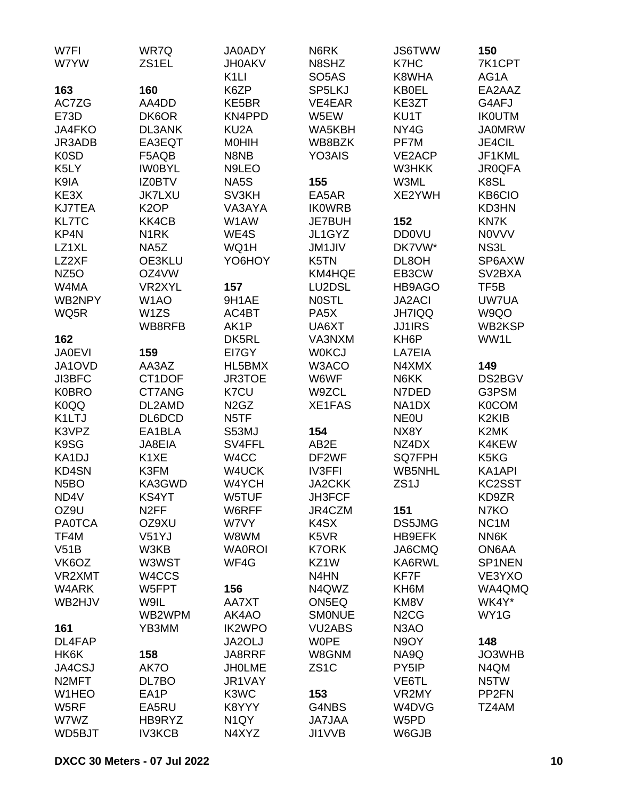| W7FI               | WR7Q              | <b>JA0ADY</b>                 | N6RK               | <b>JS6TWW</b>                 | 150                            |
|--------------------|-------------------|-------------------------------|--------------------|-------------------------------|--------------------------------|
| W7YW               | ZS1EL             | <b>JH0AKV</b>                 | N8SHZ              | K7HC                          | 7K1CPT                         |
|                    |                   | K <sub>1</sub> LI             | SO <sub>5</sub> AS | K8WHA                         | AG1A                           |
| 163                | 160               | K6ZP                          | SP5LKJ             | <b>KB0EL</b>                  | EA2AAZ                         |
| AC7ZG              | AA4DD             | KE5BR                         | VE4EAR             | KE3ZT                         | G4AFJ                          |
| E73D               | DK6OR             | KN4PPD                        | W5EW               | KU1T                          | <b>IKOUTM</b>                  |
|                    |                   | KU <sub>2</sub> A             |                    |                               | <b>JA0MRW</b>                  |
| JA4FKO             | <b>DL3ANK</b>     |                               | WA5KBH             | NY4G                          |                                |
| JR3ADB             | EA3EQT            | <b>MOHIH</b>                  | WB8BZK             | PF7M                          | <b>JE4CIL</b>                  |
| K0SD               | F5AQB             | N8NB                          | YO3AIS             | VE2ACP                        | JF1KML                         |
| K5LY               | <b>IWOBYL</b>     | N9LEO                         |                    | W3HKK                         | <b>JR0QFA</b>                  |
| K9IA               | <b>IZ0BTV</b>     | NA5S                          | 155                | W3ML                          | K8SL                           |
| KE3X               | <b>JK7LXU</b>     | SV3KH                         | EA5AR              | XE2YWH                        | KB6CIO                         |
| <b>KJ7TEA</b>      | K <sub>2</sub> OP | VA3AYA                        | <b>IKOWRB</b>      |                               | KD3HN                          |
| <b>KL7TC</b>       | KK4CB             | W1AW                          | <b>JE7BUH</b>      | 152                           | KN7K                           |
| KP4N               | N <sub>1</sub> RK | WE4S                          | JL1GYZ             | <b>DD0VU</b>                  | <b>NOVVV</b>                   |
| LZ1XL              | NA5Z              | WQ1H                          | <b>JM1JIV</b>      | DK7VW*                        | NS3L                           |
| LZ2XF              | OE3KLU            | YO6HOY                        | K5TN               | DL8OH                         | SP6AXW                         |
| NZ <sub>50</sub>   | OZ4VW             |                               | KM4HQE             | EB3CW                         | SV <sub>2</sub> BXA            |
| W4MA               | VR2XYL            | 157                           | LU2DSL             | HB9AGO                        | TF5B                           |
| WB2NPY             | W <sub>1</sub> AO | 9H1AE                         | <b>NOSTL</b>       | <b>JA2ACI</b>                 | UW7UA                          |
| WQ5R               | W <sub>1</sub> ZS | AC4BT                         | PA <sub>5</sub> X  | <b>JH7IQQ</b>                 | W9QO                           |
|                    |                   | AK1P                          |                    |                               | WB2KSP                         |
|                    | WB8RFB            |                               | UA6XT              | <b>JJ1IRS</b>                 |                                |
| 162                |                   | DK5RL                         | VA3NXM             | KH <sub>6</sub> P             | WW1L                           |
| <b>JA0EVI</b>      | 159               | EI7GY                         | <b>WOKCJ</b>       | LA7EIA                        |                                |
| JA1OVD             | AA3AZ             | HL5BMX                        | W3ACO              | N4XMX                         | 149                            |
| JI3BFC             | CT1DOF            | <b>JR3TOE</b>                 | W6WF               | N6KK                          | DS2BGV                         |
| <b>K0BRO</b>       | CT7ANG            | K7CU                          | W9ZCL              | N7DED                         | G3PSM                          |
| K0QQ               | DL2AMD            | N <sub>2</sub> G <sub>Z</sub> | XE1FAS             | NA1DX                         | <b>K0COM</b>                   |
| K1LTJ              | DL6DCD            | N <sub>5</sub> TF             |                    | <b>NEOU</b>                   | K <sub>2</sub> KI <sub>B</sub> |
| K3VPZ              | EA1BLA            | S53MJ                         | 154                | NX8Y                          | K <sub>2</sub> MK              |
| K9SG               | JA8EIA            | SV4FFL                        | AB2E               | NZ4DX                         | K4KEW                          |
| KA1DJ              | K <sub>1</sub> XE | W <sub>4</sub> CC             | DF2WF              | SQ7FPH                        | K5KG                           |
| KD4SN              | K3FM              | W4UCK                         | <b>IV3FFI</b>      | WB5NHL                        | KA1API                         |
| N <sub>5</sub> BO  | KA3GWD            | W4YCH                         | <b>JA2CKK</b>      | ZS <sub>1</sub> J             | KC2SST                         |
| ND4V               | KS4YT             | W5TUF                         | JH3FCF             |                               | KD9ZR                          |
| OZ9U               | N <sub>2</sub> FF | W6RFF                         | JR4CZM             | 151                           | N7KO                           |
| <b>PA0TCA</b>      |                   |                               | K4SX               |                               | NC <sub>1</sub> M              |
|                    | OZ9XU             | W7VY                          |                    | DS5JMG                        |                                |
| TF4M               | V51YJ             | W8WM                          | K5VR               | HB9EFK                        | NN6K                           |
| V51B               | W3KB              | <b>WA0ROI</b>                 | <b>K7ORK</b>       | JA6CMQ                        | ON6AA                          |
| VK6OZ              | W3WST             | WF4G                          | KZ1W               | KA6RWL                        | SP1NEN                         |
| VR2XMT             | W4CCS             |                               | N <sub>4</sub> HN  | KF7F                          | VE3YXO                         |
| W4ARK              | W5FPT             | 156                           | N4QWZ              | KH6M                          | WA4QMQ                         |
| WB2HJV             | W9IL              | AA7XT                         | ON5EQ              | KM8V                          | WK4Y*                          |
|                    | WB2WPM            | AK4AO                         | <b>SMONUE</b>      | N <sub>2</sub> C <sub>G</sub> | WY1G                           |
| 161                | YB3MM             | <b>IK2WPO</b>                 | <b>VU2ABS</b>      | N <sub>3</sub> AO             |                                |
| DL4FAP             |                   | JA2OLJ                        | <b>WOPE</b>        | N9OY                          | 148                            |
| HK6K               | 158               | JA8RRF                        | W8GNM              | NA9Q                          | JO3WHB                         |
| JA4CSJ             | AK7O              | <b>JHOLME</b>                 | ZS <sub>1</sub> C  | PY5IP                         | N4QM                           |
| N <sub>2</sub> MFT | DL7BO             | JR1VAY                        |                    | VE6TL                         | N <sub>5</sub> TW              |
| W1HEO              | EA1P              | K3WC                          | 153                | VR2MY                         | PP <sub>2FN</sub>              |
|                    |                   |                               |                    |                               |                                |
| W5RF               | EA5RU             | K8YYY                         | G4NBS              | W4DVG                         | TZ4AM                          |
| W7WZ               | HB9RYZ            | N <sub>1</sub> QY             | <b>JA7JAA</b>      | W5PD                          |                                |
| WD5BJT             | <b>IV3KCB</b>     | N4XYZ                         | JI1VVB             | W6GJB                         |                                |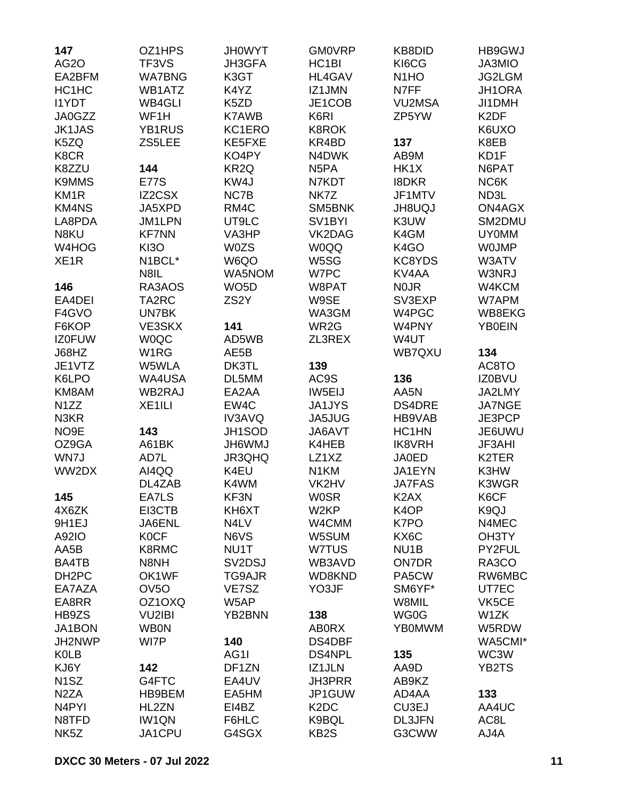| 147                | OZ1HPS             | <b>JH0WYT</b>                   | <b>GM0VRP</b>                 | KB8DID            | <b>HB9GWJ</b>     |
|--------------------|--------------------|---------------------------------|-------------------------------|-------------------|-------------------|
| <b>AG2O</b>        | TF3VS              | JH3GFA                          | HC <sub>1</sub> BI            | KI6CG             | <b>JA3MIO</b>     |
| EA2BFM             | <b>WA7BNG</b>      | K3GT                            | <b>HL4GAV</b>                 | N <sub>1</sub> HO | JG2LGM            |
| HC1HC              | WB1ATZ             | K4YZ                            | IZ1JMN                        | N7FF              | JH1ORA            |
| <b>I1YDT</b>       | WB4GLI             | K <sub>5</sub> ZD               | JE1COB                        | <b>VU2MSA</b>     | JI1DMH            |
| <b>JA0GZZ</b>      | WF1H               | <b>K7AWB</b>                    | K6RI                          | ZP5YW             | K <sub>2</sub> DF |
| <b>JK1JAS</b>      | YB1RUS             | KC1ERO                          | <b>K8ROK</b>                  |                   | K6UXO             |
| K5ZQ               | ZS5LEE             | KE5FXE                          | KR4BD                         | 137               | K8EB              |
| K8CR               |                    | KO4PY                           | N4DWK                         | AB9M              | KD1F              |
| K8ZZU              | 144                | KR <sub>2Q</sub>                | N <sub>5</sub> PA             | HK1X              | N6PAT             |
|                    |                    | KW4J                            |                               |                   |                   |
| <b>K9MMS</b>       | <b>E77S</b>        |                                 | N7KDT<br>NK7Z                 | <b>I8DKR</b>      | NC6K              |
| KM <sub>1R</sub>   | <b>IZ2CSX</b>      | NC7B                            |                               | JF1MTV            | ND3L              |
| <b>KM4NS</b>       | JA5XPD             | RM4C                            | SM5BNK                        | <b>JH8UQJ</b>     | ON4AGX            |
| LA8PDA             | JM1LPN             | UT9LC                           | SV <sub>1</sub> BYI           | K3UW              | SM2DMU            |
| N8KU               | <b>KF7NN</b>       | VA3HP                           | VK2DAG                        | K4GM              | <b>UY0MM</b>      |
| W4HOG              | <b>KI3O</b>        | <b>W0ZS</b>                     | <b>W0QQ</b>                   | K <sub>4</sub> GO | <b>WOJMP</b>      |
| XE <sub>1</sub> R  | N1BCL*             | W6QO                            | W5SG                          | KC8YDS            | W3ATV             |
|                    | N8IL               | WA5NOM                          | W7PC                          | KV4AA             | W3NRJ             |
| 146                | RA3AOS             | WO <sub>5</sub> D               | W8PAT                         | <b>NOJR</b>       | W4KCM             |
| EA4DEI             | TA2RC              | ZS <sub>2</sub> Y               | W9SE                          | SV3EXP            | W7APM             |
| F4GVO              | UN7BK              |                                 | WA3GM                         | W4PGC             | WB8EKG            |
| F6KOP              | VE3SKX             | 141                             | WR <sub>2</sub> G             | W4PNY             | <b>YB0EIN</b>     |
| <b>IZ0FUW</b>      | <b>WOQC</b>        | AD5WB                           | ZL3REX                        | W4UT              |                   |
| J68HZ              | W <sub>1</sub> RG  | AE5B                            |                               | WB7QXU            | 134               |
| JE1VTZ             | W5WLA              | DK3TL                           | 139                           |                   | AC8TO             |
| K6LPO              | WA4USA             | DL5MM                           | AC9S                          | 136               | <b>IZ0BVU</b>     |
| KM8AM              | WB2RAJ             | EA2AA                           | IW5EIJ                        | AA5N              | JA2LMY            |
| N <sub>1</sub> ZZ  | XE <sub>1ILI</sub> | EW4C                            | JA1JYS                        | <b>DS4DRE</b>     | <b>JA7NGE</b>     |
| N3KR               |                    | <b>IV3AVQ</b>                   | JA5JUG                        | HB9VAB            | JE3PCP            |
| NO <sub>9E</sub>   | 143                | JH1SOD                          | JA6AVT                        | HC1HN             | JE6UWU            |
| OZ9GA              | A61BK              | <b>JH6WMJ</b>                   | K4HEB                         | <b>IK8VRH</b>     | <b>JF3AHI</b>     |
| WN7J               | AD7L               | JR3QHQ                          | LZ1XZ                         | <b>JA0ED</b>      | K2TER             |
| WW2DX              | AI4QQ              | K4EU                            | N <sub>1</sub> KM             | JA1EYN            | K3HW              |
|                    | DL4ZAB             | K4WM                            | VK2HV                         | <b>JA7FAS</b>     | K3WGR             |
| 145                | EA7LS              | KF3N                            | <b>WOSR</b>                   | K <sub>2</sub> AX | K6CF              |
| 4X6ZK              | EI3CTB             | KH6XT                           | W <sub>2</sub> KP             | K <sub>4</sub> OP | K9QJ              |
| 9H1EJ              | JA6ENL             | N4LV                            | W4CMM                         | K7PO              | N4MEC             |
| A92IO              | <b>KOCF</b>        | N6VS                            | W5SUM                         | KX6C              | OH3TY             |
| AA5B               | K8RMC              | NU1T                            | W7TUS                         | NU <sub>1</sub> B | PY2FUL            |
| BA4TB              | N8NH               | SV <sub>2</sub> D <sub>SJ</sub> | WB3AVD                        | <b>ON7DR</b>      | RA3CO             |
| DH <sub>2</sub> PC | OK1WF              | TG9AJR                          | WD8KND                        | PA5CW             | RW6MBC            |
| EA7AZA             | OV <sub>5</sub> O  | VE7SZ                           | YO3JF                         | SM6YF*            | UT7EC             |
| EA8RR              | OZ1OXQ             | W5AP                            |                               | W8MIL             | VK5CE             |
| HB9ZS              | VU2IBI             | YB2BNN                          | 138                           | WG0G              | W1ZK              |
| JA1BON             | <b>WB0N</b>        |                                 | <b>ABORX</b>                  | <b>YB0MWM</b>     | W5RDW             |
| JH2NWP             | WI7P               | 140                             | DS4DBF                        |                   | WA5CMI*           |
|                    |                    |                                 | <b>DS4NPL</b>                 |                   |                   |
| <b>K0LB</b>        |                    | AG1I                            |                               | 135               | WC3W              |
| KJ6Y               | 142                | DF1ZN                           | IZ1JLN                        | AA9D              | YB2TS             |
| N <sub>1</sub> SZ  | G4FTC              | EA4UV                           | <b>JH3PRR</b>                 | AB9KZ             |                   |
| N <sub>2</sub> ZA  | HB9BEM             | EA5HM                           | JP1GUW                        | AD4AA             | 133               |
| N <sub>4</sub> PYI | HL2ZN              | EI4BZ                           | K <sub>2</sub> D <sub>C</sub> | CU3EJ             | AA4UC             |
| N8TFD              | <b>IW1QN</b>       | F6HLC                           | K9BQL                         | <b>DL3JFN</b>     | AC8L              |
| NK <sub>5</sub> Z  | JA1CPU             | G4SGX                           | KB <sub>2</sub> S             | G3CWW             | AJ4A              |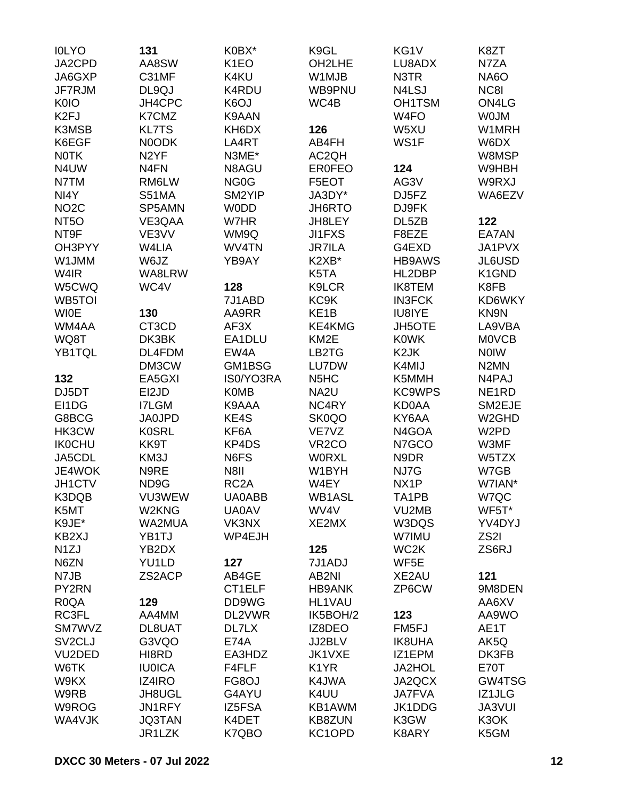| <b>IOLYO</b>        | 131               | K0BX*             | K9GL                          | KG1V              | K8ZT               |
|---------------------|-------------------|-------------------|-------------------------------|-------------------|--------------------|
| JA2CPD              | AA8SW             | K <sub>1</sub> EO | OH2LHE                        | LU8ADX            | N7ZA               |
| JA6GXP              | C31MF             | K4KU              | W1MJB                         | N3TR              | NA6O               |
| JF7RJM              | DL9QJ             | K4RDU             | WB9PNU                        | N4LSJ             | NC8I               |
| <b>K0IO</b>         | JH4CPC            | K6OJ              | WC4B                          | <b>OH1TSM</b>     | ON4LG              |
| K <sub>2FJ</sub>    | K7CMZ             | K9AAN             |                               | W <sub>4</sub> FO | <b>WOJM</b>        |
| K3MSB               | <b>KL7TS</b>      | KH6DX             | 126                           | W5XU              | W1MRH              |
|                     |                   |                   |                               |                   |                    |
| K6EGF               | N0ODK             | LA4RT             | AB4FH                         | WS1F              | W6DX               |
| <b>NOTK</b>         | N <sub>2</sub> YF | N3ME*             | AC2QH                         |                   | W8MSP              |
| N4UW                | N <sub>4</sub> FN | N8AGU             | <b>ER0FEO</b>                 | 124               | W9HBH              |
| N7TM                | RM6LW             | NG <sub>0</sub> G | F5EOT                         | AG3V              | W9RXJ              |
| NI4Y                | <b>S51MA</b>      | SM2YIP            | JA3DY*                        | DJ5FZ             | WA6EZV             |
| NO <sub>2</sub> C   | SP5AMN            | <b>WODD</b>       | JH6RTO                        | DJ9FK             |                    |
| NT <sub>50</sub>    | VE3QAA            | W7HR              | JH8LEY                        | DL5ZB             | 122                |
| NT9F                | VE3VV             | WM9Q              | <b>JI1FXS</b>                 | F8EZE             | EA7AN              |
| OH3PYY              | W4LIA             | WV4TN             | <b>JR7ILA</b>                 | G4EXD             | JA1PVX             |
| W1JMM               | W6JZ              | YB9AY             | K2XB*                         | <b>HB9AWS</b>     | JL6USD             |
| W4IR                | WA8LRW            |                   | K5TA                          | HL2DBP            | K1GND              |
| W5CWQ               | WC4V              | 128               | <b>K9LCR</b>                  | <b>IK8TEM</b>     | K8FB               |
| WB5TOI              |                   | 7J1ABD            | KC9K                          | <b>IN3FCK</b>     | KD6WKY             |
| <b>WIOE</b>         | 130               | AA9RR             | KE <sub>1</sub> B             | IU8IYE            | KN9N               |
| WM4AA               | CT3CD             | AF3X              | KE4KMG                        | JH5OTE            | LA9VBA             |
| WQ8T                | DK3BK             | EA1DLU            | KM <sub>2</sub> E             | <b>K0WK</b>       | <b>MOVCB</b>       |
|                     | DL4FDM            | EW4A              | LB2TG                         | K <sub>2</sub> JK | <b>NOIW</b>        |
| YB1TQL              |                   |                   |                               |                   |                    |
|                     | DM3CW             | GM1BSG            | LU7DW                         | K4MIJ             | N <sub>2</sub> MN  |
| 132                 | EA5GXI            | IS0/YO3RA         | N <sub>5</sub> H <sub>C</sub> | K5MMH             | N4PAJ              |
| DJ5DT               | EI2JD             | <b>K0MB</b>       | NA <sub>2U</sub>              | <b>KC9WPS</b>     | NE <sub>1</sub> RD |
| EI1DG               | <b>I7LGM</b>      | K9AAA             | NC4RY                         | <b>KD0AA</b>      | SM2EJE             |
| G8BCG               | <b>JA0JPD</b>     | KE4S              | SK0QO                         | KY6AA             | W <sub>2</sub> GHD |
| HK3CW               | <b>K0SRL</b>      | KF6A              | VE7VZ                         | N4GOA             | W <sub>2</sub> PD  |
| <b>IK0CHU</b>       | KK9T              | KP4DS             | VR <sub>2</sub> CO            | N7GCO             | W3MF               |
| JA5CDL              | KM3J              | N6FS              | <b>WORXL</b>                  | N9DR              | W5TZX              |
| JE4WOK              | N9RE              | N8II              | W1BYH                         | NJ7G              | W7GB               |
| JH1CTV              | ND9G              | RC <sub>2</sub> A | W4EY                          | NX <sub>1</sub> P | W7IAN*             |
| K3DQB               | VU3WEW            | <b>UA0ABB</b>     | WB1ASL                        | TA1PB             | W7QC               |
| K5MT                | W2KNG             | <b>UA0AV</b>      | WV4V                          | VU2MB             | WF5T*              |
| K9JE*               | WA2MUA            | VK3NX             | XE2MX                         | W3DQS             | YV4DYJ             |
| KB2XJ               | YB1TJ             | WP4EJH            |                               | W7IMU             | ZS <sub>2</sub> I  |
| N <sub>1</sub> ZJ   | YB2DX             |                   | 125                           | WC <sub>2</sub> K | ZS6RJ              |
| N6ZN                | YU1LD             | 127               | 7J1ADJ                        | WF5E              |                    |
| N7JB                | ZS2ACP            | AB4GE             | AB2NI                         | XE2AU             | 121                |
|                     |                   | CT1ELF            | <b>HB9ANK</b>                 | ZP6CW             |                    |
| PY2RN               |                   |                   |                               |                   | 9M8DEN             |
| R <sub>0</sub> QA   | 129               | DD9WG             | <b>HL1VAU</b>                 |                   | AA6XV              |
| RC3FL               | AA4MM             | DL2VWR            | IK5BOH/2                      | 123               | AA9WO              |
| SM7WVZ              | DL8UAT            | DL7LX             | IZ8DEO                        | FM5FJ             | AE1T               |
| SV <sub>2</sub> CLJ | G3VQO             | <b>E74A</b>       | JJ2BLV                        | <b>IK8UHA</b>     | AK5Q               |
| VU2DED              | HI8RD             | EA3HDZ            | JK1VXE                        | IZ1EPM            | DK3FB              |
| W6TK                | <b>IU0ICA</b>     | F4FLF             | K <sub>1</sub> YR             | JA2HOL            | <b>E70T</b>        |
| W9KX                | IZ4IRO            | FG8OJ             | K4JWA                         | JA2QCX            | GW4TSG             |
| W9RB                | JH8UGL            | G4AYU             | K4UU                          | <b>JA7FVA</b>     | IZ1JLG             |
| W9ROG               | JN1RFY            | IZ5FSA            | KB1AWM                        | JK1DDG            | <b>JA3VUI</b>      |
| WA4VJK              | <b>JQ3TAN</b>     | K4DET             | KB8ZUN                        | K3GW              | K3OK               |
|                     | JR1LZK            | K7QBO             | KC1OPD                        | K8ARY             | K5GM               |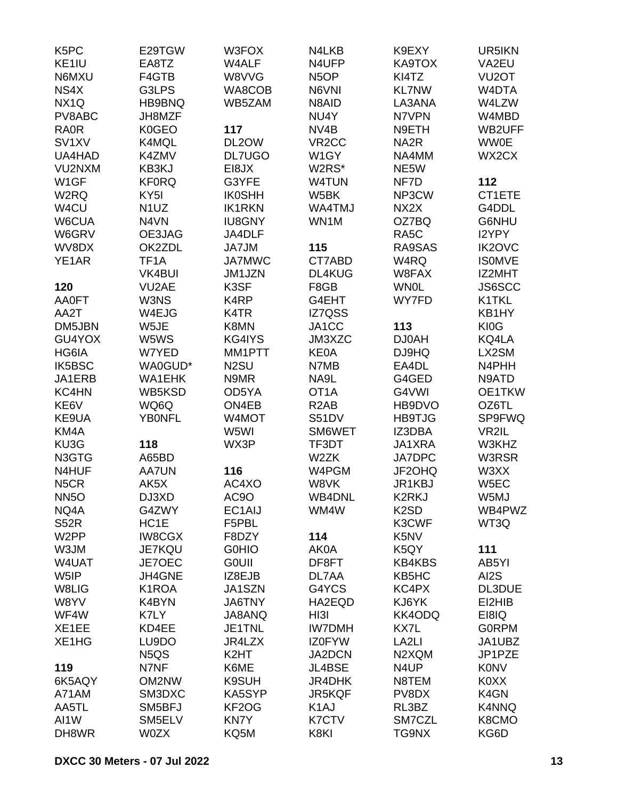| K <sub>5</sub> PC  | E29TGW                            | W3FOX             | N4LKB              | K9EXY                         | UR5IKN             |
|--------------------|-----------------------------------|-------------------|--------------------|-------------------------------|--------------------|
| KE1IU              | EA8TZ                             | W4ALF             | N4UFP              | KA9TOX                        | VA2EU              |
| N6MXU              | F4GTB                             | W8VVG             | N <sub>5</sub> OP  | KI4TZ                         | VU <sub>2</sub> OT |
| NS4X               | G3LPS                             | WA8COB            | N6VNI              | <b>KL7NW</b>                  | W4DTA              |
| NX <sub>1Q</sub>   | HB9BNQ                            | WB5ZAM            | N8AID              | LA3ANA                        | W4LZW              |
| PV8ABC             | JH8MZF                            |                   | NU4Y               | N7VPN                         | W4MBD              |
| <b>RA0R</b>        | K0GEO                             | 117               | NV4B               | N9ETH                         | WB2UFF             |
| SV <sub>1</sub> XV | K4MQL                             | DL2OW             | VR <sub>2</sub> CC | NA <sub>2</sub> R             | <b>WW0E</b>        |
| UA4HAD             | K4ZMV                             | <b>DL7UGO</b>     | W1GY               | NA4MM                         | WX2CX              |
| VU2NXM             | KB3KJ                             | EI8JX             | W2RS*              | NE5W                          |                    |
| W <sub>1</sub> GF  |                                   | G3YFE             | W4TUN              | NF7D                          | 112                |
|                    | <b>KF0RQ</b><br>KY <sub>5</sub> I |                   |                    | NP3CW                         | CT1ETE             |
| W <sub>2</sub> RQ  |                                   | <b>IK0SHH</b>     | W5BK               |                               |                    |
| W4CU               | N <sub>1</sub> UZ                 | <b>IK1RKN</b>     | WA4TMJ             | NX <sub>2</sub> X             | G4DDL              |
| W6CUA              | N4VN                              | <b>IU8GNY</b>     | WN1M               | OZ7BQ                         | G6NHU              |
| W6GRV              | OE3JAG                            | JA4DLF            |                    | RA <sub>5</sub> C             | I2YPY              |
| WV8DX              | OK2ZDL                            | JA7JM             | 115                | RA9SAS                        | <b>IK2OVC</b>      |
| YE1AR              | TF <sub>1</sub> A                 | <b>JA7MWC</b>     | CT7ABD             | W4RQ                          | <b>ISOMVE</b>      |
|                    | <b>VK4BUI</b>                     | JM1JZN            | <b>DL4KUG</b>      | W8FAX                         | IZ2MHT             |
| 120                | VU <sub>2</sub> AE                | K3SF              | F8GB               | <b>WN0L</b>                   | JS6SCC             |
| <b>AA0FT</b>       | W3NS                              | K4RP              | G4EHT              | WY7FD                         | K1TKL              |
| AA2T               | W4EJG                             | K4TR              | IZ7QSS             |                               | KB1HY              |
| DM5JBN             | W5JE                              | K8MN              | JA1CC              | 113                           | KI0G               |
| GU4YOX             | W5WS                              | KG4IYS            | JM3XZC             | <b>DJ0AH</b>                  | KQ4LA              |
| HG6IA              | W7YED                             | MM1PTT            | <b>KE0A</b>        | DJ9HQ                         | LX2SM              |
| IK5BSC             | WA0GUD*                           | N <sub>2</sub> SU | N7MB               | EA4DL                         | N4PHH              |
| JA1ERB             | <b>WA1EHK</b>                     | N9MR              | NA9L               | G4GED                         | N9ATD              |
| KC4HN              | WB5KSD                            | OD5YA             | OT <sub>1</sub> A  | G4VWI                         | OE1TKW             |
| KE6V               | WQ6Q                              | ON4EB             | R <sub>2</sub> AB  | HB9DVO                        | OZ6TL              |
| KE9UA              | <b>YBONFL</b>                     | W4MOT             | <b>S51DV</b>       | <b>HB9TJG</b>                 | <b>SP9FWQ</b>      |
| KM4A               |                                   | W5WI              | SM6WET             | IZ3DBA                        | VR2IL              |
| KU3G               | 118                               | WX3P              | TF3DT              | JA1XRA                        | W3KHZ              |
| N3GTG              | A65BD                             |                   | W2ZK               | JA7DPC                        | W3RSR              |
| N4HUF              | <b>AA7UN</b>                      | 116               | W4PGM              | JF2OHQ                        | W3XX               |
| N <sub>5</sub> CR  | AK5X                              | AC4XO             | W8VK               | JR1KBJ                        | W <sub>5</sub> EC  |
| NN <sub>5</sub> O  | DJ3XD                             | AC9O              | WB4DNL             | K2RKJ                         | W5MJ               |
| NQ4A               | G4ZWY                             | EC1AIJ            | WM4W               | K <sub>2</sub> SD             | WB4PWZ             |
| <b>S52R</b>        | HC1E                              | F5PBL             |                    | K3CWF                         | WT3Q               |
| W <sub>2</sub> PP  | <b>IW8CGX</b>                     |                   |                    |                               |                    |
| W3JM               | <b>JE7KQU</b>                     | F8DZY             | 114                | K <sub>5</sub> N <sub>V</sub> |                    |
|                    |                                   | <b>G0HIO</b>      | AK0A               | K5QY                          | 111                |
| W4UAT              | JE7OEC                            | <b>GOUII</b>      | DF8FT              | <b>KB4KBS</b>                 | AB5YI              |
| W5IP               | JH4GNE                            | IZ8EJB            | DL7AA              | KB5HC                         | AI2S               |
| W8LIG              | K <sub>1</sub> ROA                | JA1SZN            | G4YCS              | KC4PX                         | DL3DUE             |
| W8YV               | K4BYN                             | <b>JA6TNY</b>     | HA2EQD             | KJ6YK                         | EI2HIB             |
| WF4W               | K7LY                              | JA8ANQ            | HI3I               | KK4ODQ                        | EI8IQ              |
| XE1EE              | KD4EE                             | JE1TNL            | <b>IW7DMH</b>      | KX7L                          | <b>GORPM</b>       |
| XE1HG              | LU9DO                             | JR4LZX            | <b>IZ0FYW</b>      | LA <sub>2LI</sub>             | JA1UBZ             |
|                    | N <sub>5</sub> Q <sub>S</sub>     | K <sub>2</sub> HT | JA2DCN             | N2XQM                         | JP1PZE             |
| 119                | N7NF                              | K6ME              | JL4BSE             | N4UP                          | <b>K0NV</b>        |
| 6K5AQY             | OM2NW                             | K9SUH             | JR4DHK             | N8TEM                         | K0XX               |
| A71AM              | SM3DXC                            | KA5SYP            | JR5KQF             | PV8DX                         | K4GN               |
| AA5TL              | SM5BFJ                            | KF2OG             | K <sub>1</sub> AJ  | RL3BZ                         | <b>K4NNQ</b>       |
| AI1W               | SM5ELV                            | KN7Y              | <b>K7CTV</b>       | SM7CZL                        | K8CMO              |
| DH8WR              | W0ZX                              | KQ5M              | K8KI               | TG9NX                         | KG6D               |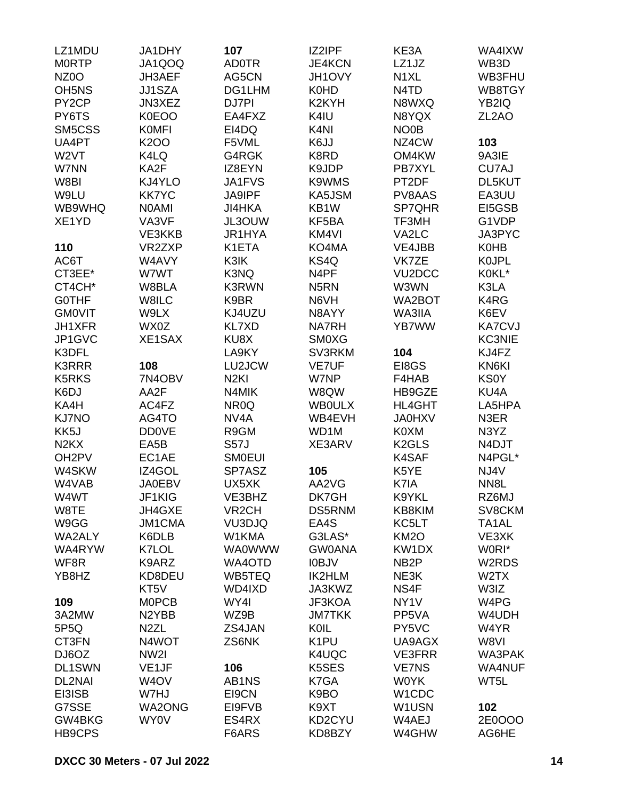| LZ1MDU                        | JA1DHY             | 107                | IZ2IPF              | KE3A                          | WA4IXW                        |
|-------------------------------|--------------------|--------------------|---------------------|-------------------------------|-------------------------------|
| <b>MORTP</b>                  | JA1QOQ             | <b>AD0TR</b>       | <b>JE4KCN</b>       | LZ1JZ                         | WB3D                          |
| NZ0O                          | JH3AEF             | AG5CN              | JH1OVY              | N <sub>1</sub> XL             | WB3FHU                        |
| <b>OH5NS</b>                  | <b>JJ1SZA</b>      | DG1LHM             | <b>K0HD</b>         | N <sub>4</sub> T <sub>D</sub> | WB8TGY                        |
| PY <sub>2</sub> CP            | JN3XEZ             | DJ7PI              | K <sub>2</sub> KYH  | N8WXQ                         | YB2IQ                         |
| PY6TS                         | K0EOO              | EA4FXZ             | K4IU                | N8YQX                         | ZL <sub>2</sub> AO            |
| SM5CSS                        | <b>KOMFI</b>       | EI4DQ              | K <sub>4NI</sub>    | NO <sub>0</sub> B             |                               |
| UA4PT                         | <b>K2OO</b>        | F5VML              | K6JJ                | NZ4CW                         | 103                           |
| W <sub>2</sub> VT             | K4LQ               | G4RGK              | K8RD                | OM4KW                         | 9A3IE                         |
| W7NN                          | KA2F               | IZ8EYN             | K9JDP               | PB7XYL                        | CU7AJ                         |
| W8BI                          | KJ4YLO             | JA1FVS             | K9WMS               | PT2DF                         | DL5KUT                        |
| W9LU                          | <b>KK7YC</b>       | <b>JA9IPF</b>      | KA5JSM              | PV8AAS                        | EA3UU                         |
| WB9WHQ                        | <b>NOAMI</b>       | <b>JI4HKA</b>      | KB1W                | SP7QHR                        | EI5GSB                        |
| XE1YD                         | VA3VF              | JL3OUW             | KF5BA               | TF3MH                         | G1VDP                         |
|                               |                    | JR1HYA             | KM4VI               |                               | JA3PYC                        |
|                               | VE3KKB<br>VR2ZXP   |                    |                     | VA2LC<br>VE4JBB               |                               |
| 110                           |                    | K1ETA              | KO4MA               |                               | <b>K0HB</b>                   |
| AC6T                          | W4AVY              | K3IK               | KS4Q                | VK7ZE                         | <b>KOJPL</b>                  |
| CT3EE*                        | W7WT               | K3NQ               | N4PF                | VU <sub>2</sub> DCC           | K0KL*                         |
| CT4CH*                        | W8BLA              | <b>K3RWN</b>       | N <sub>5</sub> RN   | W3WN                          | K3LA                          |
| <b>GOTHF</b>                  | W8ILC              | K9BR               | N6VH                | WA2BOT                        | K4RG                          |
| <b>GMOVIT</b>                 | W9LX               | KJ4UZU             | N8AYY               | WA3IIA                        | K6EV                          |
| <b>JH1XFR</b>                 | WX0Z               | <b>KL7XD</b>       | <b>NA7RH</b>        | YB7WW                         | <b>KA7CVJ</b>                 |
| JP1GVC                        | XE1SAX             | KU8X               | <b>SMOXG</b>        |                               | <b>KC3NIE</b>                 |
| K3DFL                         |                    | LA9KY              | SV3RKM              | 104                           | KJ4FZ                         |
| <b>K3RRR</b>                  | 108                | LU2JCW             | <b>VE7UF</b>        | EI8GS                         | KN6KI                         |
| <b>K5RKS</b>                  | 7N4OBV             | N <sub>2KI</sub>   | W7NP                | F4HAB                         | <b>KS0Y</b>                   |
| K6DJ                          | AA2F               | N4MIK              | W8QW                | HB9GZE                        | KU4A                          |
| KA4H                          | AC4FZ              | NR <sub>0</sub> Q  | <b>WBOULX</b>       | <b>HL4GHT</b>                 | LA5HPA                        |
| <b>KJ7NO</b>                  | AG4TO              | NV <sub>4</sub> A  | WB4EVH              | <b>JA0HXV</b>                 | N3ER                          |
| KK5J                          | <b>DD0VE</b>       | R9GM               | WD1M                | K0XM                          | N3YZ                          |
| N <sub>2</sub> K <sub>X</sub> | EA5B               | <b>S57J</b>        | XE3ARV              | K <sub>2</sub> GLS            | N4DJT                         |
| OH <sub>2</sub> PV            | EC1AE              | <b>SMOEUI</b>      |                     | <b>K4SAF</b>                  | N4PGL*                        |
| W4SKW                         | IZ4GOL             | SP7ASZ             | 105                 | K5YE                          | NJ4V                          |
| W4VAB                         | <b>JA0EBV</b>      | UX5XK              | AA2VG               | K7IA                          | NN <sub>8</sub> L             |
| W4WT                          | JF1KIG             | VE3BHZ             | DK7GH               | K9YKL                         | RZ6MJ                         |
| W8TE                          | JH4GXE             | VR <sub>2</sub> CH | DS5RNM              | KB8KIM                        | SV8CKM                        |
| W9GG                          | <b>JM1CMA</b>      | VU3DJQ             | EA4S                | KC5LT                         | TA <sub>1</sub> AL            |
| WA2ALY                        | K6DLB              | W1KMA              | G3LAS*              | <b>KM2O</b>                   | VE3XK                         |
| WA4RYW                        | K7LOL              | <b>WA0WWW</b>      | <b>GW0ANA</b>       | KW1DX                         | W0RI*                         |
| WF8R                          | K9ARZ              | WA4OTD             | <b>IOBJV</b>        | NB <sub>2</sub> P             | W2RDS                         |
| YB8HZ                         | KD8DEU             | WB5TEQ             | <b>IK2HLM</b>       | NE3K                          | W <sub>2</sub> TX             |
|                               | KT5V               | WD4IXD             | JA3KWZ              | NS4F                          | W3IZ                          |
| 109                           | <b>MOPCB</b>       | WY4I               | JF3KOA              | NY <sub>1</sub> V             | W <sub>4</sub> P <sub>G</sub> |
| 3A2MW                         | N <sub>2</sub> YBB | WZ9B               | <b>JM7TKK</b>       | PP5VA                         | W4UDH                         |
| 5P5Q                          | N <sub>2</sub> ZL  | ZS4JAN             | KOIL                | PY5VC                         | W4YR                          |
| CT3FN                         | N4WOT              | ZS6NK              | K <sub>1</sub> PU   | UA9AGX                        | W8VI                          |
| DJ6OZ                         | NW <sub>2</sub>    |                    | K4UQC               | <b>VE3FRR</b>                 | WA3PAK                        |
| <b>DL1SWN</b>                 | VE <sub>1</sub> JF | 106                | K5SES               | <b>VE7NS</b>                  | <b>WA4NUF</b>                 |
| DL2NAI                        | W <sub>4</sub> OV  | AB1NS              | K7GA                | <b>WOYK</b>                   | WT5L                          |
| EI3ISB                        | W7HJ               | EI9CN              | K9BO                | W1CDC                         |                               |
| G7SSE                         | <b>WA2ONG</b>      | EI9FVB             | K9XT                | W1USN                         | 102                           |
| GW4BKG                        | WY0V               | ES4RX              | KD <sub>2</sub> CYU | W4AEJ                         | 2E0OOO                        |
| <b>HB9CPS</b>                 |                    | F6ARS              | KD8BZY              | W4GHW                         | AG6HE                         |
|                               |                    |                    |                     |                               |                               |